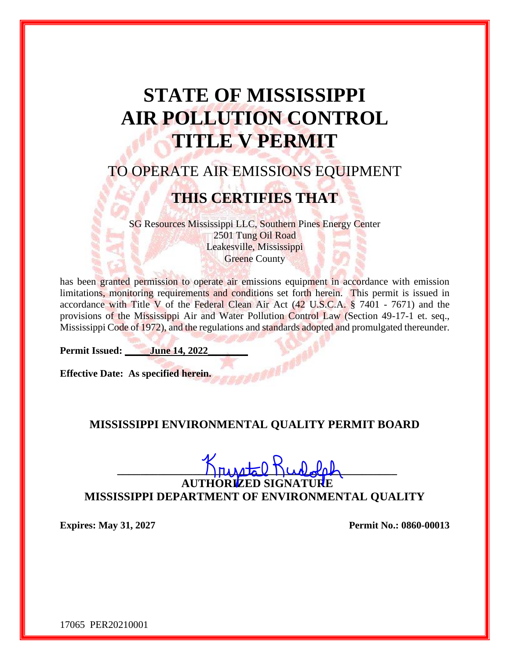# **STATE OF MISSISSIPPI AIR POLLUTION CONTROL TITLE V PERMIT**

# TO OPERATE AIR EMISSIONS EQUIPMENT

# **THIS CERTIFIES THAT**

SG Resources Mississippi LLC, Southern Pines Energy Center 2501 Tung Oil Road Leakesville, Mississippi **Greene County** 

has been granted permission to operate air emissions equipment in accordance with emission limitations, monitoring requirements and conditions set forth herein. This permit is issued in accordance with Title V of the Federal Clean Air Act (42 U.S.C.A. § 7401 - 7671) and the provisions of the Mississippi Air and Water Pollution Control Law (Section 49-17-1 et. seq., Mississippi Code of 1972), and the regulations and standards adopted and promulgated thereunder.

**Permit Issued: June 14, 2022** 

**Effective Date: As specified herein.** 

#### **MISSISSIPPI ENVIRONMENTAL QUALITY PERMIT BOARD**

**\_\_\_\_\_\_\_\_\_\_\_\_\_\_\_\_\_\_\_\_\_\_\_\_\_\_\_\_\_\_\_\_\_\_\_\_\_\_\_\_\_\_\_\_\_\_\_\_**

**AUTHORIZED SIGNATURE MISSISSIPPI DEPARTMENT OF ENVIRONMENTAL QUALITY**

**Expires:** May 31, 2027 **Permit No.: 0860-00013** 

17065 PER20210001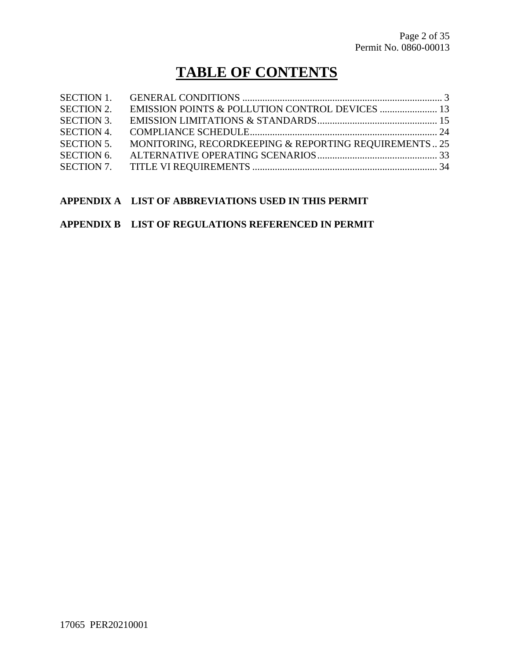# **TABLE OF CONTENTS**

| <b>SECTION 2.</b> |                                                       |  |
|-------------------|-------------------------------------------------------|--|
| <b>SECTION 3.</b> |                                                       |  |
| <b>SECTION 4.</b> |                                                       |  |
| <b>SECTION 5.</b> | MONITORING, RECORDKEEPING & REPORTING REQUIREMENTS 25 |  |
| <b>SECTION 6.</b> |                                                       |  |
|                   |                                                       |  |

#### **APPENDIX A LIST OF ABBREVIATIONS USED IN THIS PERMIT**

#### **APPENDIX B LIST OF REGULATIONS REFERENCED IN PERMIT**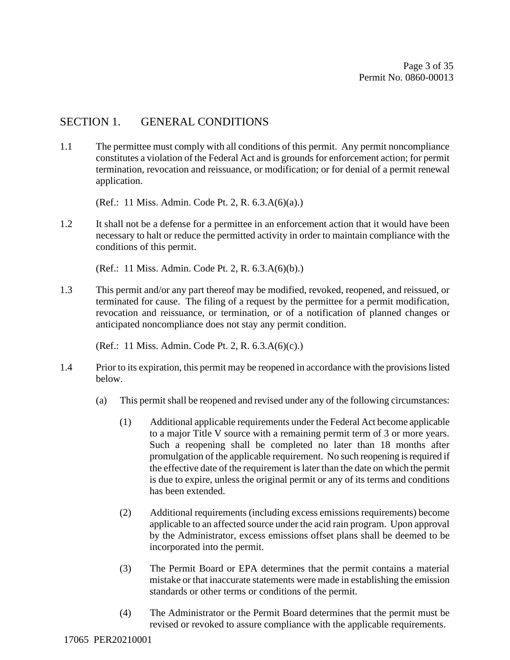#### SECTION 1. GENERAL CONDITIONS

1.1 The permittee must comply with all conditions of this permit. Any permit noncompliance constitutes a violation of the Federal Act and is grounds for enforcement action; for permit termination, revocation and reissuance, or modification; or for denial of a permit renewal application.

(Ref.: 11 Miss. Admin. Code Pt. 2, R. 6.3.A(6)(a).)

1.2 It shall not be a defense for a permittee in an enforcement action that it would have been necessary to halt or reduce the permitted activity in order to maintain compliance with the conditions of this permit.

(Ref.: 11 Miss. Admin. Code Pt. 2, R. 6.3.A(6)(b).)

1.3 This permit and/or any part thereof may be modified, revoked, reopened, and reissued, or terminated for cause. The filing of a request by the permittee for a permit modification, revocation and reissuance, or termination, or of a notification of planned changes or anticipated noncompliance does not stay any permit condition.

(Ref.: 11 Miss. Admin. Code Pt. 2, R. 6.3.A(6)(c).)

- 1.4 Prior to its expiration, this permit may be reopened in accordance with the provisions listed below.
	- (a) This permit shall be reopened and revised under any of the following circumstances:
		- (1) Additional applicable requirements under the Federal Act become applicable to a major Title V source with a remaining permit term of 3 or more years. Such a reopening shall be completed no later than 18 months after promulgation of the applicable requirement. No such reopening is required if the effective date of the requirement is later than the date on which the permit is due to expire, unless the original permit or any of its terms and conditions has been extended.
		- (2) Additional requirements (including excess emissions requirements) become applicable to an affected source under the acid rain program. Upon approval by the Administrator, excess emissions offset plans shall be deemed to be incorporated into the permit.
		- (3) The Permit Board or EPA determines that the permit contains a material mistake or that inaccurate statements were made in establishing the emission standards or other terms or conditions of the permit.
		- (4) The Administrator or the Permit Board determines that the permit must be revised or revoked to assure compliance with the applicable requirements.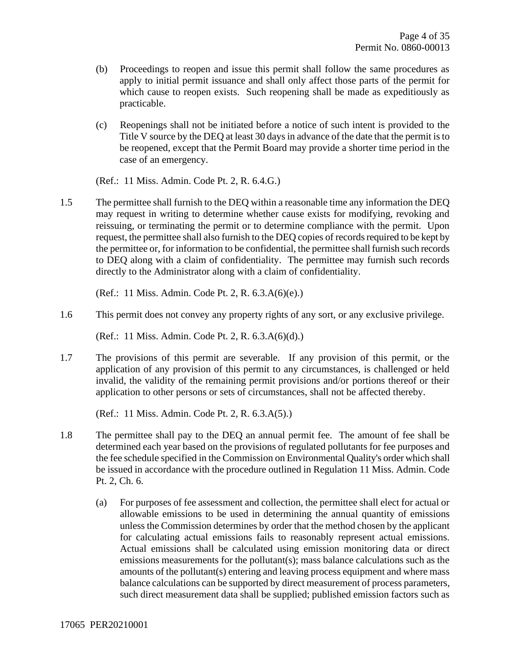- (b) Proceedings to reopen and issue this permit shall follow the same procedures as apply to initial permit issuance and shall only affect those parts of the permit for which cause to reopen exists. Such reopening shall be made as expeditiously as practicable.
- (c) Reopenings shall not be initiated before a notice of such intent is provided to the Title V source by the DEQ at least 30 days in advance of the date that the permit is to be reopened, except that the Permit Board may provide a shorter time period in the case of an emergency.

(Ref.: 11 Miss. Admin. Code Pt. 2, R. 6.4.G.)

1.5 The permittee shall furnish to the DEQ within a reasonable time any information the DEQ may request in writing to determine whether cause exists for modifying, revoking and reissuing, or terminating the permit or to determine compliance with the permit. Upon request, the permittee shall also furnish to the DEQ copies of records required to be kept by the permittee or, for information to be confidential, the permittee shall furnish such records to DEQ along with a claim of confidentiality. The permittee may furnish such records directly to the Administrator along with a claim of confidentiality.

(Ref.: 11 Miss. Admin. Code Pt. 2, R. 6.3.A(6)(e).)

1.6 This permit does not convey any property rights of any sort, or any exclusive privilege.

(Ref.: 11 Miss. Admin. Code Pt. 2, R. 6.3.A(6)(d).)

1.7 The provisions of this permit are severable. If any provision of this permit, or the application of any provision of this permit to any circumstances, is challenged or held invalid, the validity of the remaining permit provisions and/or portions thereof or their application to other persons or sets of circumstances, shall not be affected thereby.

(Ref.: 11 Miss. Admin. Code Pt. 2, R. 6.3.A(5).)

- 1.8 The permittee shall pay to the DEQ an annual permit fee. The amount of fee shall be determined each year based on the provisions of regulated pollutants for fee purposes and the fee schedule specified in the Commission on Environmental Quality's order which shall be issued in accordance with the procedure outlined in Regulation 11 Miss. Admin. Code Pt. 2, Ch. 6.
	- (a) For purposes of fee assessment and collection, the permittee shall elect for actual or allowable emissions to be used in determining the annual quantity of emissions unless the Commission determines by order that the method chosen by the applicant for calculating actual emissions fails to reasonably represent actual emissions. Actual emissions shall be calculated using emission monitoring data or direct emissions measurements for the pollutant(s); mass balance calculations such as the amounts of the pollutant(s) entering and leaving process equipment and where mass balance calculations can be supported by direct measurement of process parameters, such direct measurement data shall be supplied; published emission factors such as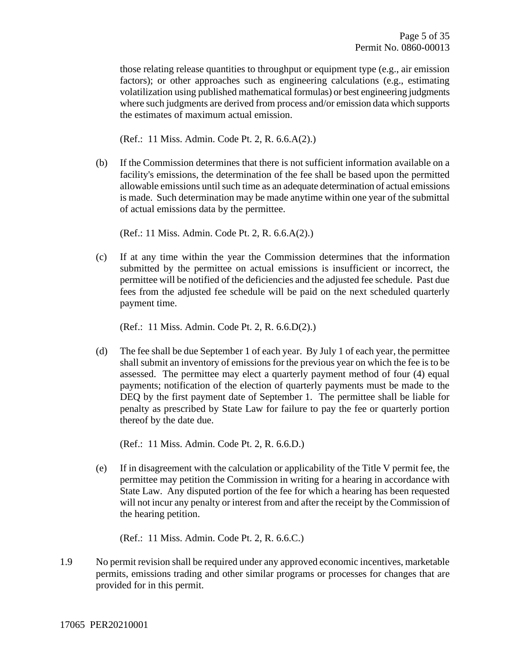those relating release quantities to throughput or equipment type (e.g., air emission factors); or other approaches such as engineering calculations (e.g., estimating volatilization using published mathematical formulas) or best engineering judgments where such judgments are derived from process and/or emission data which supports the estimates of maximum actual emission.

(Ref.: 11 Miss. Admin. Code Pt. 2, R. 6.6.A(2).)

(b) If the Commission determines that there is not sufficient information available on a facility's emissions, the determination of the fee shall be based upon the permitted allowable emissions until such time as an adequate determination of actual emissions is made. Such determination may be made anytime within one year of the submittal of actual emissions data by the permittee.

(Ref.: 11 Miss. Admin. Code Pt. 2, R. 6.6.A(2).)

(c) If at any time within the year the Commission determines that the information submitted by the permittee on actual emissions is insufficient or incorrect, the permittee will be notified of the deficiencies and the adjusted fee schedule. Past due fees from the adjusted fee schedule will be paid on the next scheduled quarterly payment time.

(Ref.: 11 Miss. Admin. Code Pt. 2, R. 6.6.D(2).)

(d) The fee shall be due September 1 of each year. By July 1 of each year, the permittee shall submit an inventory of emissions for the previous year on which the fee is to be assessed. The permittee may elect a quarterly payment method of four (4) equal payments; notification of the election of quarterly payments must be made to the DEQ by the first payment date of September 1. The permittee shall be liable for penalty as prescribed by State Law for failure to pay the fee or quarterly portion thereof by the date due.

(Ref.: 11 Miss. Admin. Code Pt. 2, R. 6.6.D.)

(e) If in disagreement with the calculation or applicability of the Title V permit fee, the permittee may petition the Commission in writing for a hearing in accordance with State Law. Any disputed portion of the fee for which a hearing has been requested will not incur any penalty or interest from and after the receipt by the Commission of the hearing petition.

(Ref.: 11 Miss. Admin. Code Pt. 2, R. 6.6.C.)

1.9 No permit revision shall be required under any approved economic incentives, marketable permits, emissions trading and other similar programs or processes for changes that are provided for in this permit.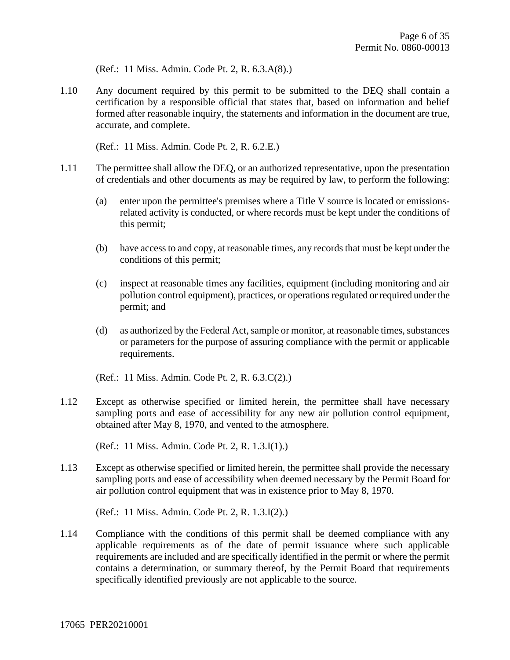(Ref.: 11 Miss. Admin. Code Pt. 2, R. 6.3.A(8).)

1.10 Any document required by this permit to be submitted to the DEQ shall contain a certification by a responsible official that states that, based on information and belief formed after reasonable inquiry, the statements and information in the document are true, accurate, and complete.

(Ref.: 11 Miss. Admin. Code Pt. 2, R. 6.2.E.)

- 1.11 The permittee shall allow the DEQ, or an authorized representative, upon the presentation of credentials and other documents as may be required by law, to perform the following:
	- (a) enter upon the permittee's premises where a Title V source is located or emissionsrelated activity is conducted, or where records must be kept under the conditions of this permit;
	- (b) have access to and copy, at reasonable times, any records that must be kept under the conditions of this permit;
	- (c) inspect at reasonable times any facilities, equipment (including monitoring and air pollution control equipment), practices, or operations regulated or required under the permit; and
	- (d) as authorized by the Federal Act, sample or monitor, at reasonable times, substances or parameters for the purpose of assuring compliance with the permit or applicable requirements.

(Ref.: 11 Miss. Admin. Code Pt. 2, R. 6.3.C(2).)

1.12 Except as otherwise specified or limited herein, the permittee shall have necessary sampling ports and ease of accessibility for any new air pollution control equipment, obtained after May 8, 1970, and vented to the atmosphere.

(Ref.: 11 Miss. Admin. Code Pt. 2, R. 1.3.I(1).)

1.13 Except as otherwise specified or limited herein, the permittee shall provide the necessary sampling ports and ease of accessibility when deemed necessary by the Permit Board for air pollution control equipment that was in existence prior to May 8, 1970.

(Ref.: 11 Miss. Admin. Code Pt. 2, R. 1.3.I(2).)

1.14 Compliance with the conditions of this permit shall be deemed compliance with any applicable requirements as of the date of permit issuance where such applicable requirements are included and are specifically identified in the permit or where the permit contains a determination, or summary thereof, by the Permit Board that requirements specifically identified previously are not applicable to the source.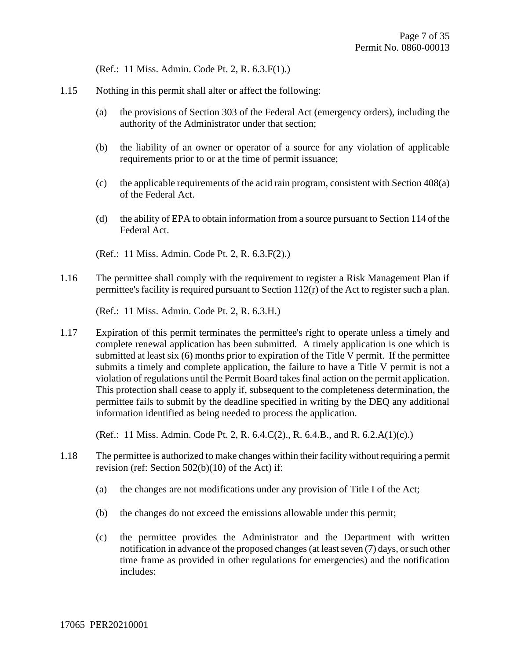(Ref.: 11 Miss. Admin. Code Pt. 2, R. 6.3.F(1).)

- 1.15 Nothing in this permit shall alter or affect the following:
	- (a) the provisions of Section 303 of the Federal Act (emergency orders), including the authority of the Administrator under that section;
	- (b) the liability of an owner or operator of a source for any violation of applicable requirements prior to or at the time of permit issuance;
	- (c) the applicable requirements of the acid rain program, consistent with Section 408(a) of the Federal Act.
	- (d) the ability of EPA to obtain information from a source pursuant to Section 114 of the Federal Act.
	- (Ref.: 11 Miss. Admin. Code Pt. 2, R. 6.3.F(2).)
- 1.16 The permittee shall comply with the requirement to register a Risk Management Plan if permittee's facility is required pursuant to Section 112(r) of the Act to register such a plan.

(Ref.: 11 Miss. Admin. Code Pt. 2, R. 6.3.H.)

1.17 Expiration of this permit terminates the permittee's right to operate unless a timely and complete renewal application has been submitted. A timely application is one which is submitted at least six (6) months prior to expiration of the Title V permit. If the permittee submits a timely and complete application, the failure to have a Title V permit is not a violation of regulations until the Permit Board takes final action on the permit application. This protection shall cease to apply if, subsequent to the completeness determination, the permittee fails to submit by the deadline specified in writing by the DEQ any additional information identified as being needed to process the application.

(Ref.: 11 Miss. Admin. Code Pt. 2, R. 6.4.C(2)., R. 6.4.B., and R. 6.2.A(1)(c).)

- 1.18 The permittee is authorized to make changes within their facility without requiring a permit revision (ref: Section 502(b)(10) of the Act) if:
	- (a) the changes are not modifications under any provision of Title I of the Act;
	- (b) the changes do not exceed the emissions allowable under this permit;
	- (c) the permittee provides the Administrator and the Department with written notification in advance of the proposed changes (at least seven (7) days, or such other time frame as provided in other regulations for emergencies) and the notification includes: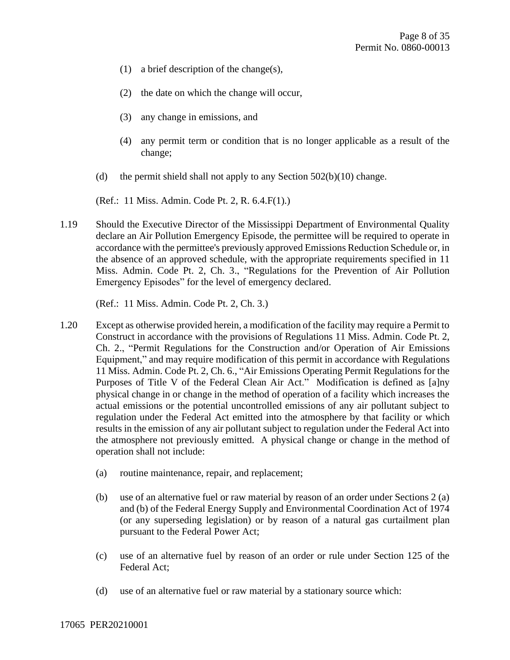- (1) a brief description of the change(s),
- (2) the date on which the change will occur,
- (3) any change in emissions, and
- (4) any permit term or condition that is no longer applicable as a result of the change;
- (d) the permit shield shall not apply to any Section  $502(b)(10)$  change.

(Ref.: 11 Miss. Admin. Code Pt. 2, R. 6.4.F(1).)

1.19 Should the Executive Director of the Mississippi Department of Environmental Quality declare an Air Pollution Emergency Episode, the permittee will be required to operate in accordance with the permittee's previously approved Emissions Reduction Schedule or, in the absence of an approved schedule, with the appropriate requirements specified in 11 Miss. Admin. Code Pt. 2, Ch. 3., "Regulations for the Prevention of Air Pollution Emergency Episodes" for the level of emergency declared.

(Ref.: 11 Miss. Admin. Code Pt. 2, Ch. 3.)

- 1.20 Except as otherwise provided herein, a modification of the facility may require a Permit to Construct in accordance with the provisions of Regulations 11 Miss. Admin. Code Pt. 2, Ch. 2., "Permit Regulations for the Construction and/or Operation of Air Emissions Equipment," and may require modification of this permit in accordance with Regulations 11 Miss. Admin. Code Pt. 2, Ch. 6., "Air Emissions Operating Permit Regulations for the Purposes of Title V of the Federal Clean Air Act." Modification is defined as [a]ny physical change in or change in the method of operation of a facility which increases the actual emissions or the potential uncontrolled emissions of any air pollutant subject to regulation under the Federal Act emitted into the atmosphere by that facility or which results in the emission of any air pollutant subject to regulation under the Federal Act into the atmosphere not previously emitted. A physical change or change in the method of operation shall not include:
	- (a) routine maintenance, repair, and replacement;
	- (b) use of an alternative fuel or raw material by reason of an order under Sections 2 (a) and (b) of the Federal Energy Supply and Environmental Coordination Act of 1974 (or any superseding legislation) or by reason of a natural gas curtailment plan pursuant to the Federal Power Act;
	- (c) use of an alternative fuel by reason of an order or rule under Section 125 of the Federal Act;
	- (d) use of an alternative fuel or raw material by a stationary source which: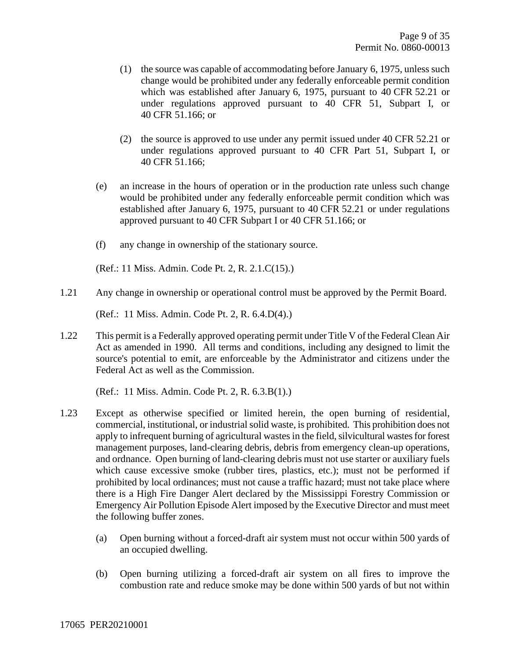- (1) the source was capable of accommodating before January 6, 1975, unless such change would be prohibited under any federally enforceable permit condition which was established after January 6, 1975, pursuant to 40 CFR 52.21 or under regulations approved pursuant to 40 CFR 51, Subpart I, or 40 CFR 51.166; or
- (2) the source is approved to use under any permit issued under 40 CFR 52.21 or under regulations approved pursuant to 40 CFR Part 51, Subpart I, or 40 CFR 51.166;
- (e) an increase in the hours of operation or in the production rate unless such change would be prohibited under any federally enforceable permit condition which was established after January 6, 1975, pursuant to 40 CFR 52.21 or under regulations approved pursuant to 40 CFR Subpart I or 40 CFR 51.166; or
- (f) any change in ownership of the stationary source.

(Ref.: 11 Miss. Admin. Code Pt. 2, R. 2.1.C(15).)

1.21 Any change in ownership or operational control must be approved by the Permit Board.

(Ref.: 11 Miss. Admin. Code Pt. 2, R. 6.4.D(4).)

1.22 This permit is a Federally approved operating permit under Title V of the Federal Clean Air Act as amended in 1990. All terms and conditions, including any designed to limit the source's potential to emit, are enforceable by the Administrator and citizens under the Federal Act as well as the Commission.

(Ref.: 11 Miss. Admin. Code Pt. 2, R. 6.3.B(1).)

- 1.23 Except as otherwise specified or limited herein, the open burning of residential, commercial, institutional, or industrial solid waste, is prohibited. This prohibition does not apply to infrequent burning of agricultural wastes in the field, silvicultural wastes for forest management purposes, land-clearing debris, debris from emergency clean-up operations, and ordnance. Open burning of land-clearing debris must not use starter or auxiliary fuels which cause excessive smoke (rubber tires, plastics, etc.); must not be performed if prohibited by local ordinances; must not cause a traffic hazard; must not take place where there is a High Fire Danger Alert declared by the Mississippi Forestry Commission or Emergency Air Pollution Episode Alert imposed by the Executive Director and must meet the following buffer zones.
	- (a) Open burning without a forced-draft air system must not occur within 500 yards of an occupied dwelling.
	- (b) Open burning utilizing a forced-draft air system on all fires to improve the combustion rate and reduce smoke may be done within 500 yards of but not within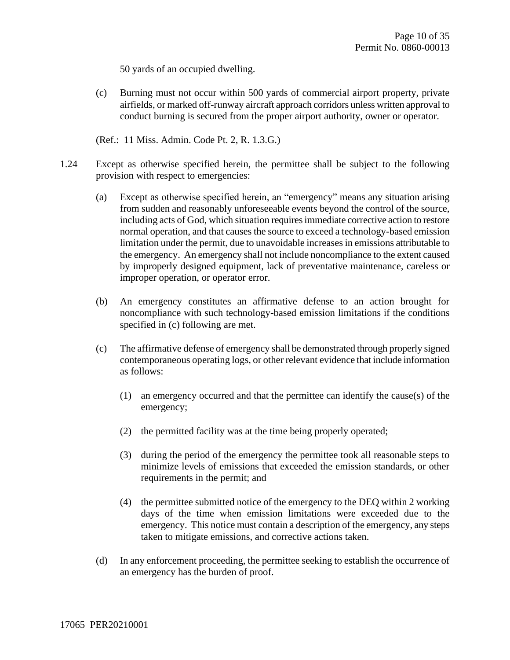50 yards of an occupied dwelling.

(c) Burning must not occur within 500 yards of commercial airport property, private airfields, or marked off-runway aircraft approach corridors unless written approval to conduct burning is secured from the proper airport authority, owner or operator.

(Ref.: 11 Miss. Admin. Code Pt. 2, R. 1.3.G.)

- 1.24 Except as otherwise specified herein, the permittee shall be subject to the following provision with respect to emergencies:
	- (a) Except as otherwise specified herein, an "emergency" means any situation arising from sudden and reasonably unforeseeable events beyond the control of the source, including acts of God, which situation requires immediate corrective action to restore normal operation, and that causes the source to exceed a technology-based emission limitation under the permit, due to unavoidable increases in emissions attributable to the emergency. An emergency shall not include noncompliance to the extent caused by improperly designed equipment, lack of preventative maintenance, careless or improper operation, or operator error.
	- (b) An emergency constitutes an affirmative defense to an action brought for noncompliance with such technology-based emission limitations if the conditions specified in (c) following are met.
	- (c) The affirmative defense of emergency shall be demonstrated through properly signed contemporaneous operating logs, or other relevant evidence that include information as follows:
		- (1) an emergency occurred and that the permittee can identify the cause(s) of the emergency;
		- (2) the permitted facility was at the time being properly operated;
		- (3) during the period of the emergency the permittee took all reasonable steps to minimize levels of emissions that exceeded the emission standards, or other requirements in the permit; and
		- (4) the permittee submitted notice of the emergency to the DEQ within 2 working days of the time when emission limitations were exceeded due to the emergency. This notice must contain a description of the emergency, any steps taken to mitigate emissions, and corrective actions taken.
	- (d) In any enforcement proceeding, the permittee seeking to establish the occurrence of an emergency has the burden of proof.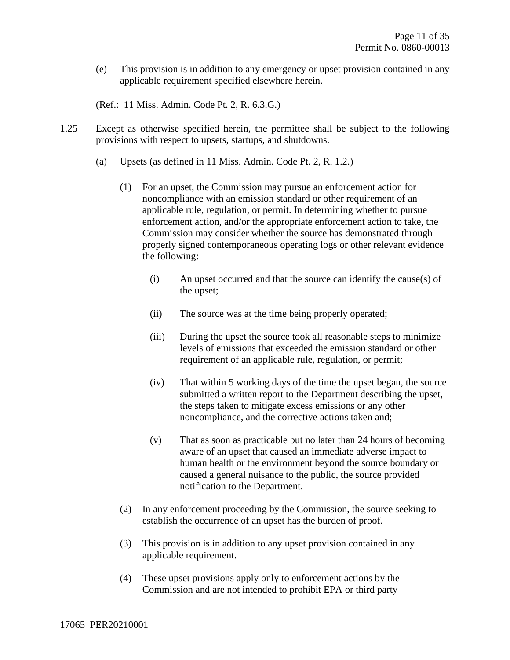(e) This provision is in addition to any emergency or upset provision contained in any applicable requirement specified elsewhere herein.

(Ref.: 11 Miss. Admin. Code Pt. 2, R. 6.3.G.)

- 1.25 Except as otherwise specified herein, the permittee shall be subject to the following provisions with respect to upsets, startups, and shutdowns.
	- (a) Upsets (as defined in 11 Miss. Admin. Code Pt. 2, R. 1.2.)
		- (1) For an upset, the Commission may pursue an enforcement action for noncompliance with an emission standard or other requirement of an applicable rule, regulation, or permit. In determining whether to pursue enforcement action, and/or the appropriate enforcement action to take, the Commission may consider whether the source has demonstrated through properly signed contemporaneous operating logs or other relevant evidence the following:
			- (i) An upset occurred and that the source can identify the cause(s) of the upset;
			- (ii) The source was at the time being properly operated;
			- (iii) During the upset the source took all reasonable steps to minimize levels of emissions that exceeded the emission standard or other requirement of an applicable rule, regulation, or permit;
			- (iv) That within 5 working days of the time the upset began, the source submitted a written report to the Department describing the upset, the steps taken to mitigate excess emissions or any other noncompliance, and the corrective actions taken and;
			- (v) That as soon as practicable but no later than 24 hours of becoming aware of an upset that caused an immediate adverse impact to human health or the environment beyond the source boundary or caused a general nuisance to the public, the source provided notification to the Department.
		- (2) In any enforcement proceeding by the Commission, the source seeking to establish the occurrence of an upset has the burden of proof.
		- (3) This provision is in addition to any upset provision contained in any applicable requirement.
		- (4) These upset provisions apply only to enforcement actions by the Commission and are not intended to prohibit EPA or third party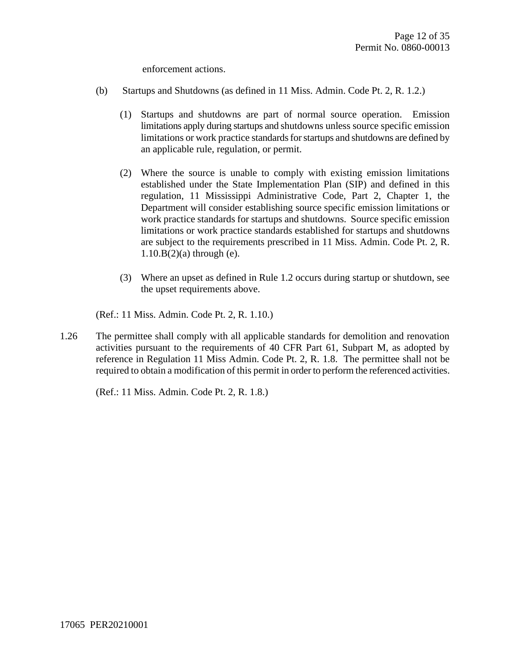enforcement actions.

- (b) Startups and Shutdowns (as defined in 11 Miss. Admin. Code Pt. 2, R. 1.2.)
	- (1) Startups and shutdowns are part of normal source operation. Emission limitations apply during startups and shutdowns unless source specific emission limitations or work practice standards for startups and shutdowns are defined by an applicable rule, regulation, or permit.
	- (2) Where the source is unable to comply with existing emission limitations established under the State Implementation Plan (SIP) and defined in this regulation, 11 Mississippi Administrative Code, Part 2, Chapter 1, the Department will consider establishing source specific emission limitations or work practice standards for startups and shutdowns. Source specific emission limitations or work practice standards established for startups and shutdowns are subject to the requirements prescribed in 11 Miss. Admin. Code Pt. 2, R.  $1.10.B(2)(a)$  through (e).
	- (3) Where an upset as defined in Rule 1.2 occurs during startup or shutdown, see the upset requirements above.

(Ref.: 11 Miss. Admin. Code Pt. 2, R. 1.10.)

1.26 The permittee shall comply with all applicable standards for demolition and renovation activities pursuant to the requirements of 40 CFR Part 61, Subpart M, as adopted by reference in Regulation 11 Miss Admin. Code Pt. 2, R. 1.8. The permittee shall not be required to obtain a modification of this permit in order to perform the referenced activities.

(Ref.: 11 Miss. Admin. Code Pt. 2, R. 1.8.)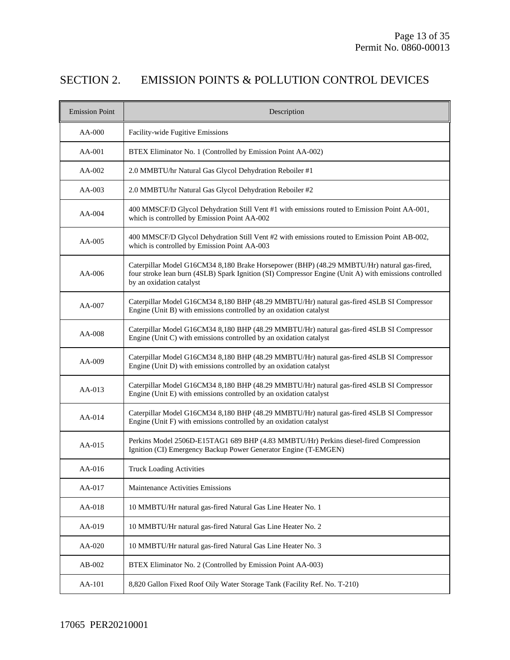### SECTION 2. EMISSION POINTS & POLLUTION CONTROL DEVICES

| <b>Emission Point</b> | Description                                                                                                                                                                                                                     |
|-----------------------|---------------------------------------------------------------------------------------------------------------------------------------------------------------------------------------------------------------------------------|
| AA-000                | Facility-wide Fugitive Emissions                                                                                                                                                                                                |
| AA-001                | BTEX Eliminator No. 1 (Controlled by Emission Point AA-002)                                                                                                                                                                     |
| AA-002                | 2.0 MMBTU/hr Natural Gas Glycol Dehydration Reboiler #1                                                                                                                                                                         |
| $AA-003$              | 2.0 MMBTU/hr Natural Gas Glycol Dehydration Reboiler #2                                                                                                                                                                         |
| $AA-004$              | 400 MMSCF/D Glycol Dehydration Still Vent #1 with emissions routed to Emission Point AA-001,<br>which is controlled by Emission Point AA-002                                                                                    |
| AA-005                | 400 MMSCF/D Glycol Dehydration Still Vent #2 with emissions routed to Emission Point AB-002,<br>which is controlled by Emission Point AA-003                                                                                    |
| AA-006                | Caterpillar Model G16CM34 8,180 Brake Horsepower (BHP) (48.29 MMBTU/Hr) natural gas-fired,<br>four stroke lean burn (4SLB) Spark Ignition (SI) Compressor Engine (Unit A) with emissions controlled<br>by an oxidation catalyst |
| AA-007                | Caterpillar Model G16CM34 8,180 BHP (48.29 MMBTU/Hr) natural gas-fired 4SLB SI Compressor<br>Engine (Unit B) with emissions controlled by an oxidation catalyst                                                                 |
| AA-008                | Caterpillar Model G16CM34 8,180 BHP (48.29 MMBTU/Hr) natural gas-fired 4SLB SI Compressor<br>Engine (Unit C) with emissions controlled by an oxidation catalyst                                                                 |
| AA-009                | Caterpillar Model G16CM34 8,180 BHP (48.29 MMBTU/Hr) natural gas-fired 4SLB SI Compressor<br>Engine (Unit D) with emissions controlled by an oxidation catalyst                                                                 |
| AA-013                | Caterpillar Model G16CM34 8,180 BHP (48.29 MMBTU/Hr) natural gas-fired 4SLB SI Compressor<br>Engine (Unit E) with emissions controlled by an oxidation catalyst                                                                 |
| AA-014                | Caterpillar Model G16CM34 8,180 BHP (48.29 MMBTU/Hr) natural gas-fired 4SLB SI Compressor<br>Engine (Unit F) with emissions controlled by an oxidation catalyst                                                                 |
| $AA-015$              | Perkins Model 2506D-E15TAG1 689 BHP (4.83 MMBTU/Hr) Perkins diesel-fired Compression<br>Ignition (CI) Emergency Backup Power Generator Engine (T-EMGEN)                                                                         |
| AA-016                | <b>Truck Loading Activities</b>                                                                                                                                                                                                 |
| AA-017                | Maintenance Activities Emissions                                                                                                                                                                                                |
| AA-018                | 10 MMBTU/Hr natural gas-fired Natural Gas Line Heater No. 1                                                                                                                                                                     |
| AA-019                | 10 MMBTU/Hr natural gas-fired Natural Gas Line Heater No. 2                                                                                                                                                                     |
| AA-020                | 10 MMBTU/Hr natural gas-fired Natural Gas Line Heater No. 3                                                                                                                                                                     |
| AB-002                | BTEX Eliminator No. 2 (Controlled by Emission Point AA-003)                                                                                                                                                                     |
| AA-101                | 8,820 Gallon Fixed Roof Oily Water Storage Tank (Facility Ref. No. T-210)                                                                                                                                                       |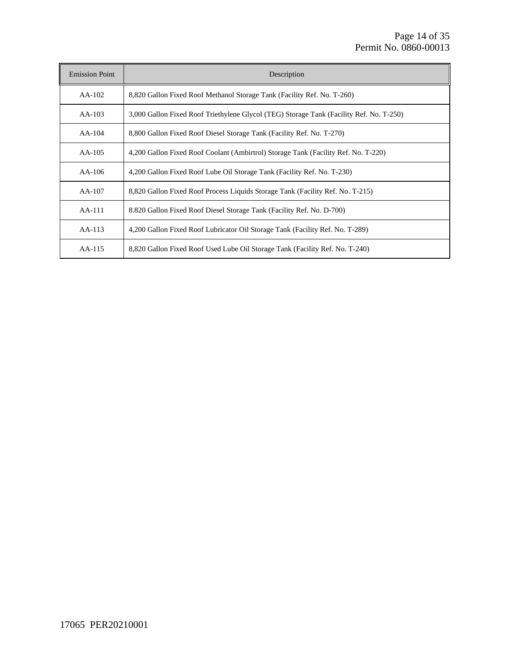| <b>Emission Point</b> | Description                                                                             |
|-----------------------|-----------------------------------------------------------------------------------------|
| $AA-102$              | 8,820 Gallon Fixed Roof Methanol Storage Tank (Facility Ref. No. T-260)                 |
| $AA-103$              | 3,000 Gallon Fixed Roof Triethylene Glycol (TEG) Storage Tank (Facility Ref. No. T-250) |
| $AA-104$              | 8,800 Gallon Fixed Roof Diesel Storage Tank (Facility Ref. No. T-270)                   |
| $AA-105$              | 4,200 Gallon Fixed Roof Coolant (Ambirtrol) Storage Tank (Facility Ref. No. T-220)      |
| $AA-106$              | 4,200 Gallon Fixed Roof Lube Oil Storage Tank (Facility Ref. No. T-230)                 |
| $AA-107$              | 8,820 Gallon Fixed Roof Process Liquids Storage Tank (Facility Ref. No. T-215)          |
| $AA-111$              | 8.820 Gallon Fixed Roof Diesel Storage Tank (Facility Ref. No. D-700)                   |
| $AA-113$              | 4,200 Gallon Fixed Roof Lubricator Oil Storage Tank (Facility Ref. No. T-289)           |
| $AA-115$              | 8,820 Gallon Fixed Roof Used Lube Oil Storage Tank (Facility Ref. No. T-240)            |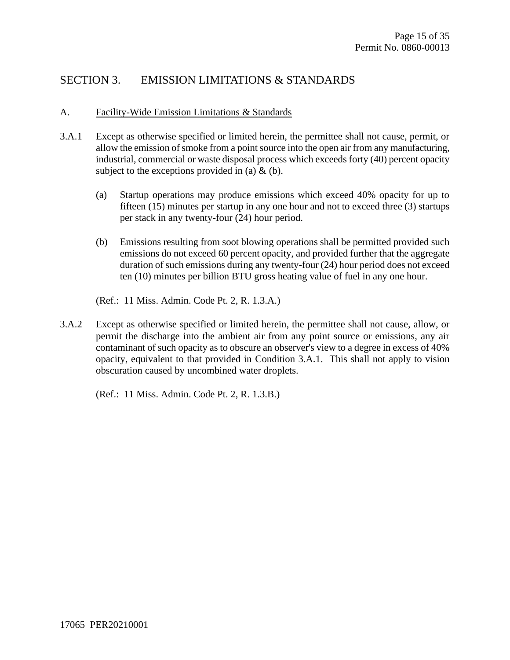#### SECTION 3. EMISSION LIMITATIONS & STANDARDS

#### A. Facility-Wide Emission Limitations & Standards

- 3.A.1 Except as otherwise specified or limited herein, the permittee shall not cause, permit, or allow the emission of smoke from a point source into the open air from any manufacturing, industrial, commercial or waste disposal process which exceeds forty (40) percent opacity subject to the exceptions provided in (a)  $\&$  (b).
	- (a) Startup operations may produce emissions which exceed 40% opacity for up to fifteen (15) minutes per startup in any one hour and not to exceed three (3) startups per stack in any twenty-four (24) hour period.
	- (b) Emissions resulting from soot blowing operations shall be permitted provided such emissions do not exceed 60 percent opacity, and provided further that the aggregate duration of such emissions during any twenty-four (24) hour period does not exceed ten (10) minutes per billion BTU gross heating value of fuel in any one hour.
	- (Ref.: 11 Miss. Admin. Code Pt. 2, R. 1.3.A.)
- 3.A.2 Except as otherwise specified or limited herein, the permittee shall not cause, allow, or permit the discharge into the ambient air from any point source or emissions, any air contaminant of such opacity as to obscure an observer's view to a degree in excess of 40% opacity, equivalent to that provided in Condition 3.A.1. This shall not apply to vision obscuration caused by uncombined water droplets.

(Ref.: 11 Miss. Admin. Code Pt. 2, R. 1.3.B.)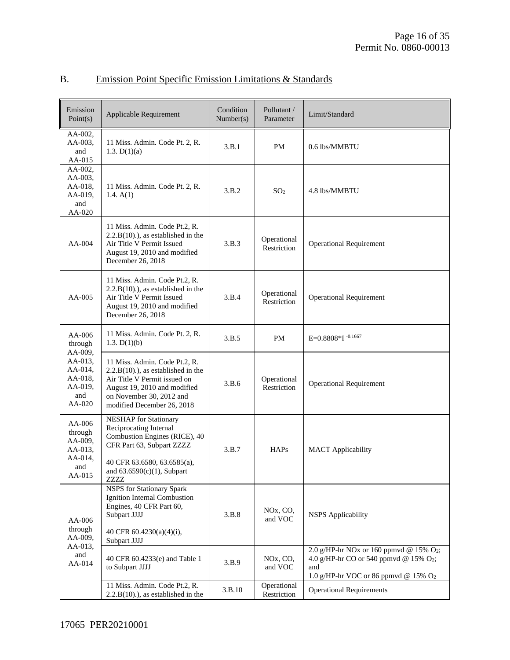| Emission<br>Point(s)                                                 | Applicable Requirement                                                                                                                                                                           | Condition<br>Number(s) | Pollutant /<br>Parameter                      | Limit/Standard                                                                                                                    |
|----------------------------------------------------------------------|--------------------------------------------------------------------------------------------------------------------------------------------------------------------------------------------------|------------------------|-----------------------------------------------|-----------------------------------------------------------------------------------------------------------------------------------|
| AA-002,<br>AA-003,<br>and<br>AA-015                                  | 11 Miss. Admin. Code Pt. 2, R.<br>1.3. $D(1)(a)$                                                                                                                                                 | 3.B.1                  | PM                                            | 0.6 lbs/MMBTU                                                                                                                     |
| AA-002,<br>AA-003,<br>AA-018,<br>AA-019,<br>and<br>AA-020            | 11 Miss. Admin. Code Pt. 2, R.<br>1.4. $A(1)$                                                                                                                                                    | 3.B.2                  | SO <sub>2</sub>                               | 4.8 lbs/MMBTU                                                                                                                     |
| AA-004                                                               | 11 Miss. Admin. Code Pt.2, R.<br>$2.2.B(10)$ .), as established in the<br>Air Title V Permit Issued<br>August 19, 2010 and modified<br>December 26, 2018                                         | 3.B.3                  | Operational<br>Restriction                    | <b>Operational Requirement</b>                                                                                                    |
| AA-005                                                               | 11 Miss. Admin. Code Pt.2, R.<br>$2.2.B(10)$ .), as established in the<br>Air Title V Permit Issued<br>August 19, 2010 and modified<br>December 26, 2018                                         | 3.B.4                  | Operational<br>Restriction                    | <b>Operational Requirement</b>                                                                                                    |
| AA-006<br>through                                                    | 11 Miss. Admin. Code Pt. 2, R.<br>1.3. $D(1)(b)$                                                                                                                                                 | 3.B.5                  | PM                                            | E=0.8808*I -0.1667                                                                                                                |
| AA-009,<br>AA-013,<br>AA-014,<br>AA-018,<br>AA-019,<br>and<br>AA-020 | 11 Miss. Admin. Code Pt.2, R.<br>$2.2.B(10)$ .), as established in the<br>Air Title V Permit issued on<br>August 19, 2010 and modified<br>on November 30, 2012 and<br>modified December 26, 2018 | 3.B.6                  | Operational<br>Restriction                    | <b>Operational Requirement</b>                                                                                                    |
| AA-006<br>through<br>AA-009,<br>AA-013,<br>AA-014,<br>and<br>AA-015  | <b>NESHAP</b> for Stationary<br>Reciprocating Internal<br>Combustion Engines (RICE), 40<br>CFR Part 63, Subpart ZZZZ<br>40 CFR 63.6580, 63.6585(a),<br>and $63.6590(c)(1)$ , Subpart<br>ZZZZ     | 3.B.7                  | <b>HAPs</b>                                   | <b>MACT</b> Applicability                                                                                                         |
| AA-006<br>through<br>AA-009,<br>AA-013,<br>and<br>AA-014             | <b>NSPS</b> for Stationary Spark<br>Ignition Internal Combustion<br>Engines, 40 CFR Part 60,<br>Subpart JJJJ<br>40 CFR 60.4230(a)(4)(i),<br>Subpart JJJJ                                         | 3.B.8                  | NO <sub>x</sub> , C <sub>O</sub> ,<br>and VOC | <b>NSPS</b> Applicability                                                                                                         |
|                                                                      | 40 CFR 60.4233(e) and Table 1<br>to Subpart JJJJ                                                                                                                                                 | 3.B.9                  | NO <sub>x</sub> , C <sub>O</sub> ,<br>and VOC | 2.0 g/HP-hr NOx or 160 ppmvd @ 15% O2;<br>4.0 g/HP-hr CO or 540 ppmvd @ 15% O2;<br>and<br>1.0 g/HP-hr VOC or 86 ppmvd @ 15% $O_2$ |
|                                                                      | 11 Miss. Admin. Code Pt.2, R.<br>$2.2.B(10)$ .), as established in the                                                                                                                           | 3.B.10                 | Operational<br>Restriction                    | <b>Operational Requirements</b>                                                                                                   |

### B. Emission Point Specific Emission Limitations & Standards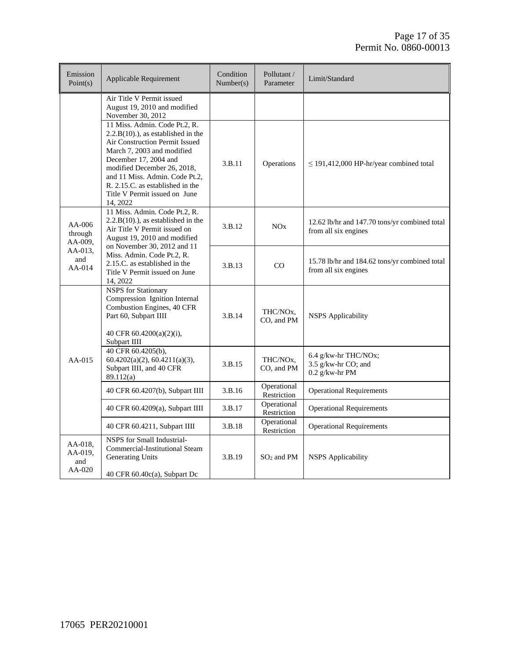| Emission<br>Point $(s)$                                  | <b>Applicable Requirement</b>                                                                                                                                                                                                                                                                                     | Condition<br>Number(s) | Pollutant /<br>Parameter            | Limit/Standard                                                        |
|----------------------------------------------------------|-------------------------------------------------------------------------------------------------------------------------------------------------------------------------------------------------------------------------------------------------------------------------------------------------------------------|------------------------|-------------------------------------|-----------------------------------------------------------------------|
|                                                          | Air Title V Permit issued<br>August 19, 2010 and modified<br>November 30, 2012                                                                                                                                                                                                                                    |                        |                                     |                                                                       |
|                                                          | 11 Miss. Admin. Code Pt.2, R.<br>$2.2.B(10)$ .), as established in the<br>Air Construction Permit Issued<br>March 7, 2003 and modified<br>December 17, 2004 and<br>modified December 26, 2018,<br>and 11 Miss. Admin. Code Pt.2,<br>R. 2.15.C. as established in the<br>Title V Permit issued on June<br>14, 2022 | 3.B.11                 | Operations                          | $\leq$ 191,412,000 HP-hr/year combined total                          |
| AA-006<br>through<br>AA-009,<br>AA-013.<br>and<br>AA-014 | 11 Miss. Admin. Code Pt.2, R.<br>$2.2.B(10)$ .), as established in the<br>Air Title V Permit issued on<br>August 19, 2010 and modified                                                                                                                                                                            | 3.B.12                 | NOx                                 | 12.62 lb/hr and 147.70 tons/yr combined total<br>from all six engines |
|                                                          | on November 30, 2012 and 11<br>Miss. Admin. Code Pt.2, R.<br>2.15.C. as established in the<br>Title V Permit issued on June<br>14, 2022                                                                                                                                                                           | 3.B.13                 | $_{\rm CO}$                         | 15.78 lb/hr and 184.62 tons/yr combined total<br>from all six engines |
|                                                          | <b>NSPS</b> for Stationary<br>Compression Ignition Internal<br>Combustion Engines, 40 CFR<br>Part 60, Subpart IIII<br>40 CFR $60.4200(a)(2)(i)$ ,<br>Subpart IIII                                                                                                                                                 | 3.B.14                 | THC/NO <sub>x</sub> ,<br>CO, and PM | <b>NSPS</b> Applicability                                             |
| $AA-015$                                                 | 40 CFR 60.4205(b),<br>60.4202(a)(2), 60.4211(a)(3),<br>Subpart IIII, and 40 CFR<br>89.112(a)                                                                                                                                                                                                                      | 3.B.15                 | THC/NO <sub>x</sub> .<br>CO, and PM | 6.4 g/kw-hr THC/NOx;<br>3.5 g/kw-hr CO; and<br>$0.2$ g/kw-hr PM       |
|                                                          | 40 CFR 60.4207(b), Subpart IIII                                                                                                                                                                                                                                                                                   | 3.B.16                 | Operational<br>Restriction          | <b>Operational Requirements</b>                                       |
|                                                          | 40 CFR 60.4209(a), Subpart IIII                                                                                                                                                                                                                                                                                   | 3.B.17                 | Operational<br>Restriction          | <b>Operational Requirements</b>                                       |
|                                                          | 40 CFR 60.4211, Subpart IIII                                                                                                                                                                                                                                                                                      | 3.B.18                 | Operational<br>Restriction          | <b>Operational Requirements</b>                                       |
| AA-018,<br>AA-019,<br>and<br>AA-020                      | NSPS for Small Industrial-<br>Commercial-Institutional Steam<br>Generating Units<br>40 CFR 60.40c(a), Subpart Dc                                                                                                                                                                                                  | 3.B.19                 | $SO2$ and PM                        | <b>NSPS</b> Applicability                                             |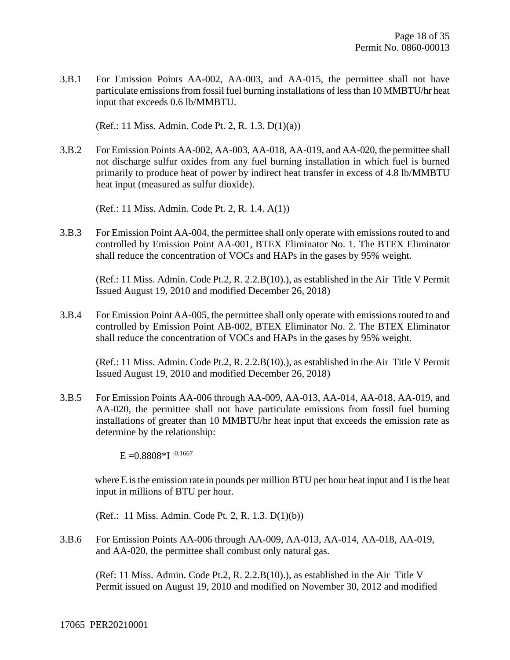3.B.1 For Emission Points AA-002, AA-003, and AA-015, the permittee shall not have particulate emissions from fossil fuel burning installations of less than 10 MMBTU/hr heat input that exceeds 0.6 lb/MMBTU.

(Ref.: 11 Miss. Admin. Code Pt. 2, R. 1.3. D(1)(a))

3.B.2 For Emission Points AA-002, AA-003, AA-018, AA-019, and AA-020, the permittee shall not discharge sulfur oxides from any fuel burning installation in which fuel is burned primarily to produce heat of power by indirect heat transfer in excess of 4.8 lb/MMBTU heat input (measured as sulfur dioxide).

(Ref.: 11 Miss. Admin. Code Pt. 2, R. 1.4. A(1))

3.B.3 For Emission Point AA-004, the permittee shall only operate with emissions routed to and controlled by Emission Point AA-001, BTEX Eliminator No. 1. The BTEX Eliminator shall reduce the concentration of VOCs and HAPs in the gases by 95% weight.

(Ref.: 11 Miss. Admin. Code Pt.2, R. 2.2.B(10).), as established in the Air Title V Permit Issued August 19, 2010 and modified December 26, 2018)

3.B.4 For Emission Point AA-005, the permittee shall only operate with emissions routed to and controlled by Emission Point AB-002, BTEX Eliminator No. 2. The BTEX Eliminator shall reduce the concentration of VOCs and HAPs in the gases by 95% weight.

(Ref.: 11 Miss. Admin. Code Pt.2, R. 2.2.B(10).), as established in the Air Title V Permit Issued August 19, 2010 and modified December 26, 2018)

3.B.5 For Emission Points AA-006 through AA-009, AA-013, AA-014, AA-018, AA-019, and AA-020, the permittee shall not have particulate emissions from fossil fuel burning installations of greater than 10 MMBTU/hr heat input that exceeds the emission rate as determine by the relationship:

 $E = 0.8808 * I^{-0.1667}$ 

 where E is the emission rate in pounds per million BTU per hour heat input and I is the heat input in millions of BTU per hour.

(Ref.: 11 Miss. Admin. Code Pt. 2, R. 1.3. D(1)(b))

3.B.6 For Emission Points AA-006 through AA-009, AA-013, AA-014, AA-018, AA-019, and AA-020, the permittee shall combust only natural gas.

(Ref: 11 Miss. Admin. Code Pt.2, R. 2.2.B(10).), as established in the Air Title V Permit issued on August 19, 2010 and modified on November 30, 2012 and modified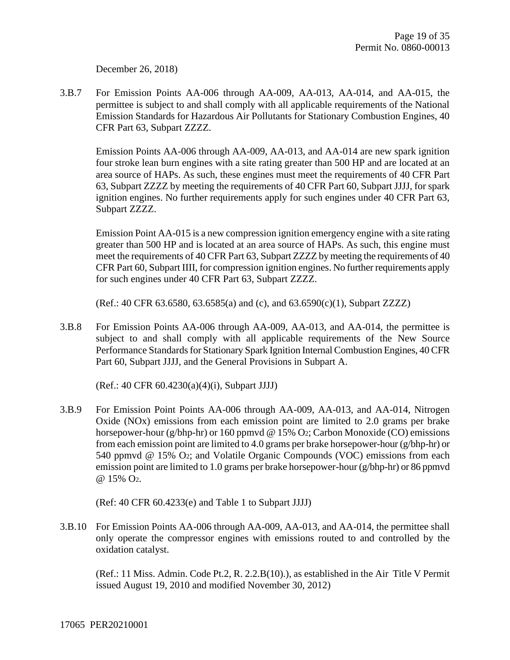December 26, 2018)

3.B.7 For Emission Points AA-006 through AA-009, AA-013, AA-014, and AA-015, the permittee is subject to and shall comply with all applicable requirements of the National Emission Standards for Hazardous Air Pollutants for Stationary Combustion Engines, 40 CFR Part 63, Subpart ZZZZ.

Emission Points AA-006 through AA-009, AA-013, and AA-014 are new spark ignition four stroke lean burn engines with a site rating greater than 500 HP and are located at an area source of HAPs. As such, these engines must meet the requirements of 40 CFR Part 63, Subpart ZZZZ by meeting the requirements of 40 CFR Part 60, Subpart JJJJ, for spark ignition engines. No further requirements apply for such engines under 40 CFR Part 63, Subpart ZZZZ.

Emission Point AA-015 is a new compression ignition emergency engine with a site rating greater than 500 HP and is located at an area source of HAPs. As such, this engine must meet the requirements of 40 CFR Part 63, Subpart ZZZZ by meeting the requirements of 40 CFR Part 60, Subpart IIII, for compression ignition engines. No further requirements apply for such engines under 40 CFR Part 63, Subpart ZZZZ.

(Ref.: 40 CFR 63.6580, 63.6585(a) and (c), and 63.6590(c)(1), Subpart ZZZZ)

3.B.8 For Emission Points AA-006 through AA-009, AA-013, and AA-014, the permittee is subject to and shall comply with all applicable requirements of the New Source Performance Standards for Stationary Spark Ignition Internal Combustion Engines, 40 CFR Part 60, Subpart JJJJ, and the General Provisions in Subpart A.

(Ref.: 40 CFR 60.4230(a)(4)(i), Subpart JJJJ)

3.B.9 For Emission Point Points AA-006 through AA-009, AA-013, and AA-014, Nitrogen Oxide (NOx) emissions from each emission point are limited to 2.0 grams per brake horsepower-hour (g/bhp-hr) or 160 ppmvd @ 15% O2; Carbon Monoxide (CO) emissions from each emission point are limited to 4.0 grams per brake horsepower-hour (g/bhp-hr) or 540 ppmvd @ 15% O2; and Volatile Organic Compounds (VOC) emissions from each emission point are limited to 1.0 grams per brake horsepower-hour (g/bhp-hr) or 86 ppmvd @ 15% O2.

(Ref: 40 CFR 60.4233(e) and Table 1 to Subpart JJJJ)

3.B.10 For Emission Points AA-006 through AA-009, AA-013, and AA-014, the permittee shall only operate the compressor engines with emissions routed to and controlled by the oxidation catalyst.

(Ref.: 11 Miss. Admin. Code Pt.2, R. 2.2.B(10).), as established in the Air Title V Permit issued August 19, 2010 and modified November 30, 2012)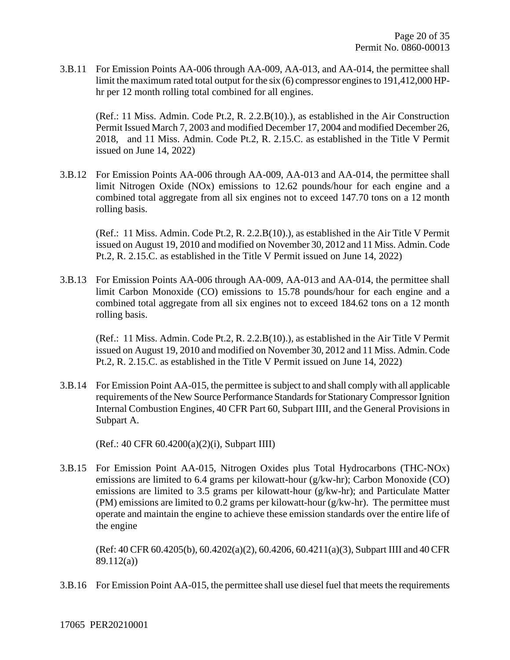3.B.11 For Emission Points AA-006 through AA-009, AA-013, and AA-014, the permittee shall limit the maximum rated total output for the six (6) compressor engines to 191,412,000 HPhr per 12 month rolling total combined for all engines.

(Ref.: 11 Miss. Admin. Code Pt.2, R. 2.2.B(10).), as established in the Air Construction Permit Issued March 7, 2003 and modified December 17, 2004 and modified December 26, 2018, and 11 Miss. Admin. Code Pt.2, R. 2.15.C. as established in the Title V Permit issued on June 14, 2022)

3.B.12 For Emission Points AA-006 through AA-009, AA-013 and AA-014, the permittee shall limit Nitrogen Oxide (NOx) emissions to 12.62 pounds/hour for each engine and a combined total aggregate from all six engines not to exceed 147.70 tons on a 12 month rolling basis.

(Ref.: 11 Miss. Admin. Code Pt.2, R. 2.2.B(10).), as established in the Air Title V Permit issued on August 19, 2010 and modified on November 30, 2012 and 11 Miss. Admin. Code Pt.2, R. 2.15.C. as established in the Title V Permit issued on June 14, 2022)

3.B.13 For Emission Points AA-006 through AA-009, AA-013 and AA-014, the permittee shall limit Carbon Monoxide (CO) emissions to 15.78 pounds/hour for each engine and a combined total aggregate from all six engines not to exceed 184.62 tons on a 12 month rolling basis.

(Ref.: 11 Miss. Admin. Code Pt.2, R. 2.2.B(10).), as established in the Air Title V Permit issued on August 19, 2010 and modified on November 30, 2012 and 11 Miss. Admin. Code Pt.2, R. 2.15.C. as established in the Title V Permit issued on June 14, 2022)

3.B.14 For Emission Point AA-015, the permittee is subject to and shall comply with all applicable requirements of the New Source Performance Standards for Stationary Compressor Ignition Internal Combustion Engines, 40 CFR Part 60, Subpart IIII, and the General Provisions in Subpart A.

(Ref.: 40 CFR 60.4200(a)(2)(i), Subpart IIII)

3.B.15 For Emission Point AA-015, Nitrogen Oxides plus Total Hydrocarbons (THC-NOx) emissions are limited to 6.4 grams per kilowatt-hour (g/kw-hr); Carbon Monoxide (CO) emissions are limited to 3.5 grams per kilowatt-hour (g/kw-hr); and Particulate Matter (PM) emissions are limited to 0.2 grams per kilowatt-hour (g/kw-hr). The permittee must operate and maintain the engine to achieve these emission standards over the entire life of the engine

(Ref: 40 CFR 60.4205(b), 60.4202(a)(2), 60.4206, 60.4211(a)(3), Subpart IIII and 40 CFR 89.112(a))

3.B.16 For Emission Point AA-015, the permittee shall use diesel fuel that meets the requirements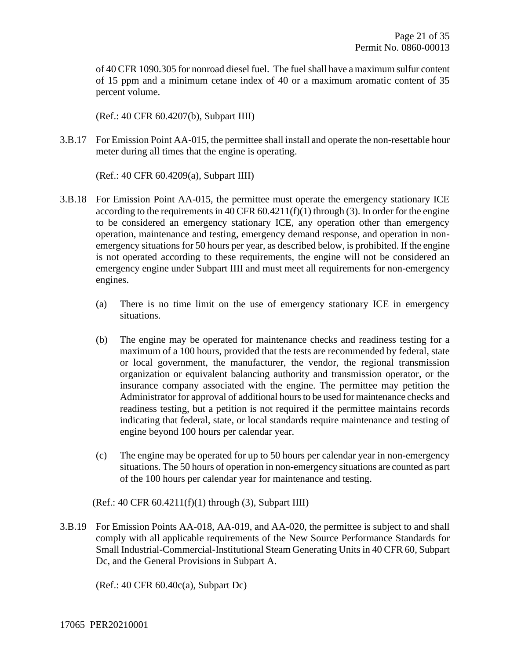of 40 CFR 1090.305 for nonroad diesel fuel. The fuel shall have a maximum sulfur content of 15 ppm and a minimum cetane index of 40 or a maximum aromatic content of 35 percent volume.

(Ref.: 40 CFR 60.4207(b), Subpart IIII)

3.B.17 For Emission Point AA-015, the permittee shall install and operate the non-resettable hour meter during all times that the engine is operating.

(Ref.: 40 CFR 60.4209(a), Subpart IIII)

- 3.B.18 For Emission Point AA-015, the permittee must operate the emergency stationary ICE according to the requirements in 40 CFR  $60.4211(f)(1)$  through (3). In order for the engine to be considered an emergency stationary ICE, any operation other than emergency operation, maintenance and testing, emergency demand response, and operation in nonemergency situations for 50 hours per year, as described below, is prohibited. If the engine is not operated according to these requirements, the engine will not be considered an emergency engine under Subpart IIII and must meet all requirements for non-emergency engines.
	- (a) There is no time limit on the use of emergency stationary ICE in emergency situations.
	- (b) The engine may be operated for maintenance checks and readiness testing for a maximum of a 100 hours, provided that the tests are recommended by federal, state or local government, the manufacturer, the vendor, the regional transmission organization or equivalent balancing authority and transmission operator, or the insurance company associated with the engine. The permittee may petition the Administrator for approval of additional hours to be used for maintenance checks and readiness testing, but a petition is not required if the permittee maintains records indicating that federal, state, or local standards require maintenance and testing of engine beyond 100 hours per calendar year.
	- (c) The engine may be operated for up to 50 hours per calendar year in non-emergency situations. The 50 hours of operation in non-emergency situations are counted as part of the 100 hours per calendar year for maintenance and testing.
	- (Ref.: 40 CFR 60.4211(f)(1) through (3), Subpart IIII)
- 3.B.19 For Emission Points AA-018, AA-019, and AA-020, the permittee is subject to and shall comply with all applicable requirements of the New Source Performance Standards for Small Industrial-Commercial-Institutional Steam Generating Units in 40 CFR 60, Subpart Dc, and the General Provisions in Subpart A.

(Ref.: 40 CFR 60.40c(a), Subpart Dc)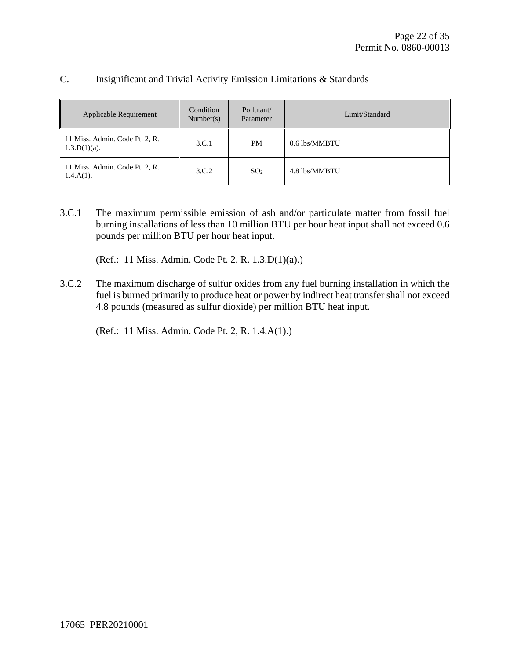|  | Insignificant and Trivial Activity Emission Limitations & Standards |  |
|--|---------------------------------------------------------------------|--|
|  |                                                                     |  |

| Applicable Requirement                            | Condition<br>Number(s) | Pollutant/<br>Parameter | Limit/Standard |
|---------------------------------------------------|------------------------|-------------------------|----------------|
| 11 Miss. Admin. Code Pt. 2, R.<br>$1.3.D(1)(a)$ . | 3.C.1                  | <b>PM</b>               | 0.6 lbs/MMBTU  |
| 11 Miss. Admin. Code Pt. 2, R.<br>$1.4.A(1)$ .    | 3.C.2                  | SO <sub>2</sub>         | 4.8 lbs/MMBTU  |

3.C.1 The maximum permissible emission of ash and/or particulate matter from fossil fuel burning installations of less than 10 million BTU per hour heat input shall not exceed 0.6 pounds per million BTU per hour heat input.

(Ref.: 11 Miss. Admin. Code Pt. 2, R. 1.3.D(1)(a).)

3.C.2 The maximum discharge of sulfur oxides from any fuel burning installation in which the fuel is burned primarily to produce heat or power by indirect heat transfer shall not exceed 4.8 pounds (measured as sulfur dioxide) per million BTU heat input.

(Ref.: 11 Miss. Admin. Code Pt. 2, R. 1.4.A(1).)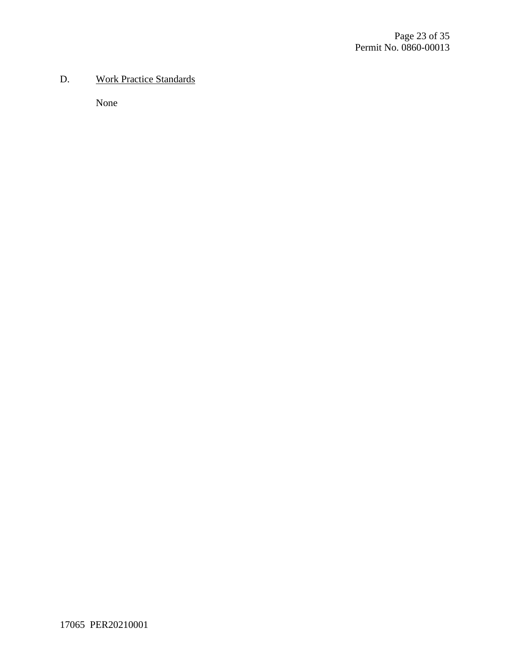#### D. Work Practice Standards

None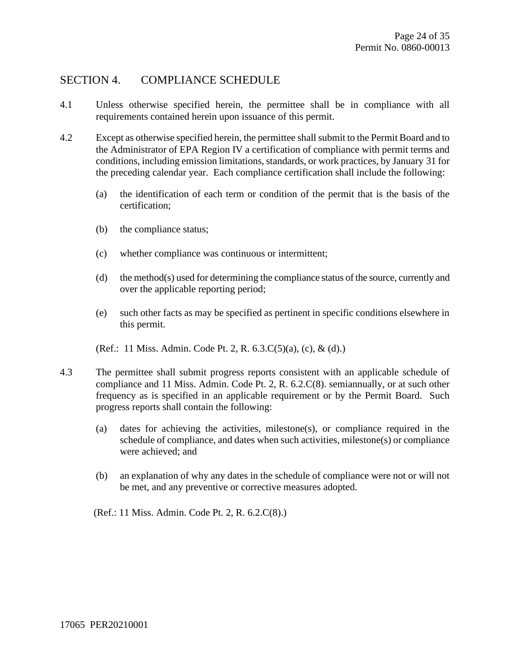#### SECTION 4. COMPLIANCE SCHEDULE

- 4.1 Unless otherwise specified herein, the permittee shall be in compliance with all requirements contained herein upon issuance of this permit.
- 4.2 Except as otherwise specified herein, the permittee shall submit to the Permit Board and to the Administrator of EPA Region IV a certification of compliance with permit terms and conditions, including emission limitations, standards, or work practices, by January 31 for the preceding calendar year. Each compliance certification shall include the following:
	- (a) the identification of each term or condition of the permit that is the basis of the certification;
	- (b) the compliance status;
	- (c) whether compliance was continuous or intermittent;
	- (d) the method(s) used for determining the compliance status of the source, currently and over the applicable reporting period;
	- (e) such other facts as may be specified as pertinent in specific conditions elsewhere in this permit.
	- (Ref.: 11 Miss. Admin. Code Pt. 2, R. 6.3.C(5)(a), (c), & (d).)
- 4.3 The permittee shall submit progress reports consistent with an applicable schedule of compliance and 11 Miss. Admin. Code Pt. 2, R. 6.2.C(8). semiannually, or at such other frequency as is specified in an applicable requirement or by the Permit Board. Such progress reports shall contain the following:
	- (a) dates for achieving the activities, milestone(s), or compliance required in the schedule of compliance, and dates when such activities, milestone(s) or compliance were achieved; and
	- (b) an explanation of why any dates in the schedule of compliance were not or will not be met, and any preventive or corrective measures adopted.

(Ref.: 11 Miss. Admin. Code Pt. 2, R. 6.2.C(8).)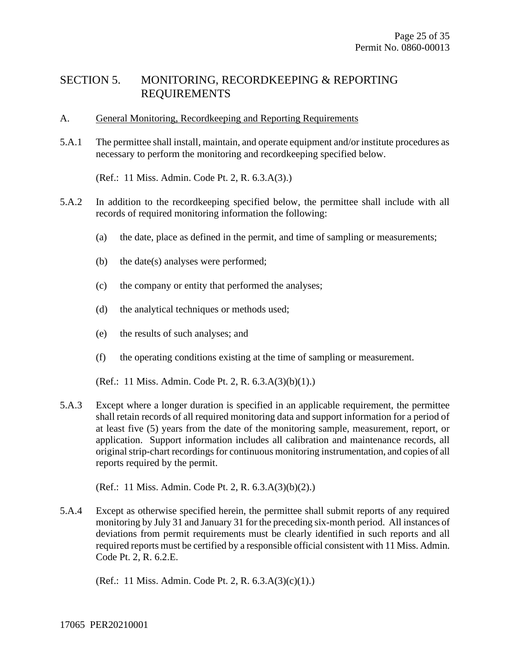#### SECTION 5. MONITORING, RECORDKEEPING & REPORTING REQUIREMENTS

- A. General Monitoring, Recordkeeping and Reporting Requirements
- 5.A.1 The permittee shall install, maintain, and operate equipment and/or institute procedures as necessary to perform the monitoring and recordkeeping specified below.

(Ref.: 11 Miss. Admin. Code Pt. 2, R. 6.3.A(3).)

- 5.A.2 In addition to the recordkeeping specified below, the permittee shall include with all records of required monitoring information the following:
	- (a) the date, place as defined in the permit, and time of sampling or measurements;
	- (b) the date(s) analyses were performed;
	- (c) the company or entity that performed the analyses;
	- (d) the analytical techniques or methods used;
	- (e) the results of such analyses; and
	- (f) the operating conditions existing at the time of sampling or measurement.

(Ref.: 11 Miss. Admin. Code Pt. 2, R. 6.3.A(3)(b)(1).)

5.A.3 Except where a longer duration is specified in an applicable requirement, the permittee shall retain records of all required monitoring data and support information for a period of at least five (5) years from the date of the monitoring sample, measurement, report, or application. Support information includes all calibration and maintenance records, all original strip-chart recordings for continuous monitoring instrumentation, and copies of all reports required by the permit.

(Ref.: 11 Miss. Admin. Code Pt. 2, R. 6.3.A(3)(b)(2).)

5.A.4 Except as otherwise specified herein, the permittee shall submit reports of any required monitoring by July 31 and January 31 for the preceding six-month period. All instances of deviations from permit requirements must be clearly identified in such reports and all required reports must be certified by a responsible official consistent with 11 Miss. Admin. Code Pt. 2, R. 6.2.E.

(Ref.: 11 Miss. Admin. Code Pt. 2, R. 6.3.A(3)(c)(1).)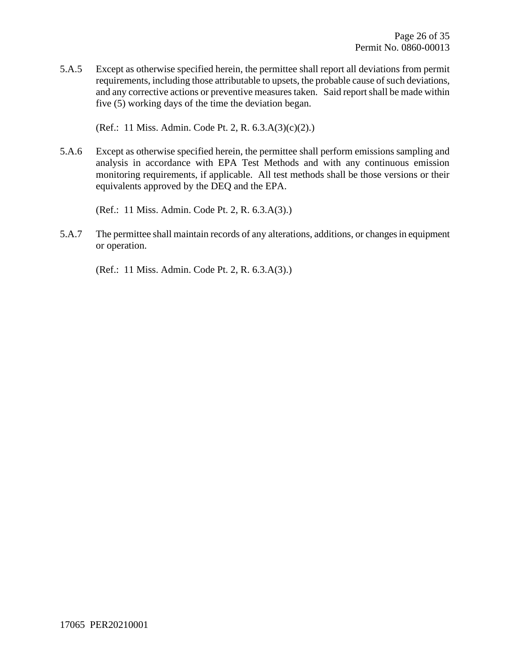5.A.5 Except as otherwise specified herein, the permittee shall report all deviations from permit requirements, including those attributable to upsets, the probable cause of such deviations, and any corrective actions or preventive measures taken. Said report shall be made within five (5) working days of the time the deviation began.

(Ref.: 11 Miss. Admin. Code Pt. 2, R. 6.3.A(3)(c)(2).)

5.A.6 Except as otherwise specified herein, the permittee shall perform emissions sampling and analysis in accordance with EPA Test Methods and with any continuous emission monitoring requirements, if applicable. All test methods shall be those versions or their equivalents approved by the DEQ and the EPA.

(Ref.: 11 Miss. Admin. Code Pt. 2, R. 6.3.A(3).)

5.A.7 The permittee shall maintain records of any alterations, additions, or changes in equipment or operation.

(Ref.: 11 Miss. Admin. Code Pt. 2, R. 6.3.A(3).)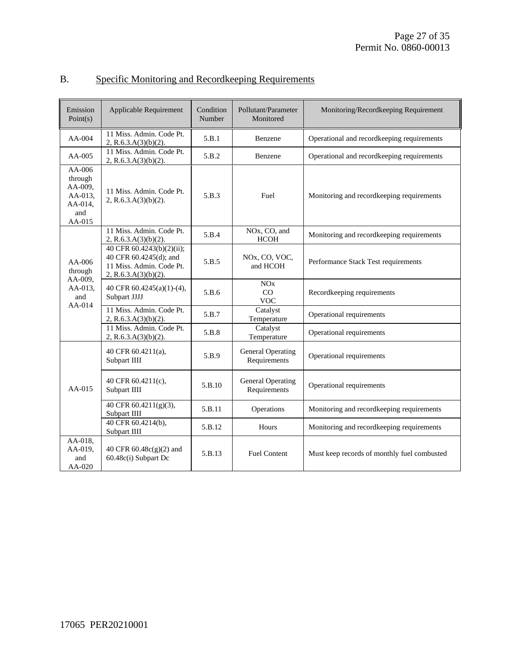| Emission<br>Point(s)                                                  | Applicable Requirement                                                                                  | Condition<br>Number | Pollutant/Parameter<br>Monitored                     | Monitoring/Recordkeeping Requirement        |
|-----------------------------------------------------------------------|---------------------------------------------------------------------------------------------------------|---------------------|------------------------------------------------------|---------------------------------------------|
| $AA-004$                                                              | 11 Miss. Admin. Code Pt.<br>2, R.6.3.A(3)(b)(2).                                                        | 5.B.1               | Benzene                                              | Operational and recordkeeping requirements  |
| $AA-005$                                                              | 11 Miss. Admin. Code Pt.<br>2, R.6.3.A(3)(b)(2).                                                        | 5.B.2               | Benzene                                              | Operational and recordkeeping requirements  |
| $AA-006$<br>through<br>AA-009,<br>AA-013,<br>AA-014,<br>and<br>AA-015 | 11 Miss. Admin. Code Pt.<br>2, R.6.3.A $(3)(b)(2)$ .                                                    | 5.B.3               | Fuel                                                 | Monitoring and recordkeeping requirements   |
|                                                                       | 11 Miss. Admin. Code Pt.<br>2, R.6.3.A $(3)(b)(2)$ .                                                    | 5.B.4               | NO <sub>x</sub> , CO <sub>2</sub> and<br><b>HCOH</b> | Monitoring and recordkeeping requirements   |
| $AA-006$<br>through<br>AA-009,<br>AA-013.<br>and<br>$AA-014$          | 40 CFR 60.4243(b)(2)(ii);<br>40 CFR 60.4245(d); and<br>11 Miss. Admin. Code Pt.<br>2, R.6.3.A(3)(b)(2). | 5.B.5               | NO <sub>x</sub> , CO, VOC,<br>and HCOH               | Performance Stack Test requirements         |
|                                                                       | 40 CFR 60.4245(a)(1)-(4),<br>Subpart JJJJ                                                               | 5.B.6               | NOx<br>CO<br><b>VOC</b>                              | Recordkeeping requirements                  |
|                                                                       | 11 Miss. Admin. Code Pt.<br>2, R.6.3.A $(3)(b)(2)$ .                                                    | 5.B.7               | Catalyst<br>Temperature                              | Operational requirements                    |
|                                                                       | 11 Miss. Admin. Code Pt.<br>2, R.6.3.A(3)(b)(2).                                                        | 5.B.8               | Catalyst<br>Temperature                              | Operational requirements                    |
|                                                                       | 40 CFR 60.4211(a),<br>Subpart IIII                                                                      | 5.B.9               | General Operating<br>Requirements                    | Operational requirements                    |
| $AA-015$                                                              | 40 CFR 60.4211(c),<br>Subpart IIII                                                                      | 5.B.10              | <b>General Operating</b><br>Requirements             | Operational requirements                    |
|                                                                       | 40 CFR 60.4211(g)(3),<br>Subpart IIII                                                                   | 5.B.11              | Operations                                           | Monitoring and recordkeeping requirements   |
|                                                                       | 40 CFR 60.4214(b),<br>Subpart IIII                                                                      | 5.B.12              | Hours                                                | Monitoring and recordkeeping requirements   |
| AA-018,<br>AA-019,<br>and<br>$AA-020$                                 | 40 CFR 60.48c(g)(2) and<br>60.48c(i) Subpart Dc                                                         | 5.B.13              | <b>Fuel Content</b>                                  | Must keep records of monthly fuel combusted |

### B. Specific Monitoring and Recordkeeping Requirements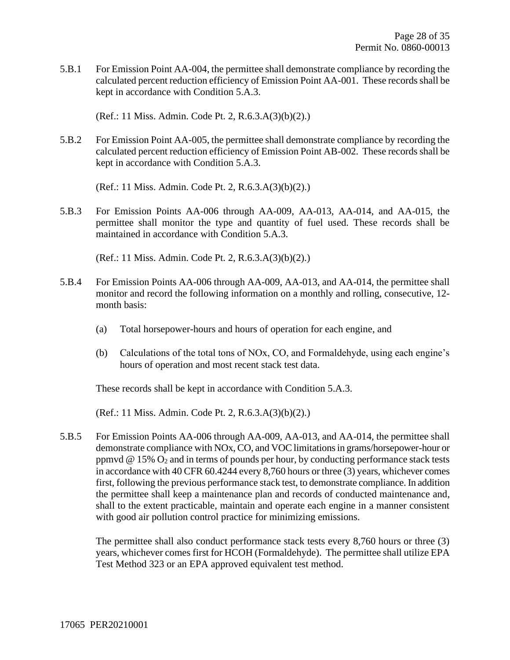5.B.1 For Emission Point AA-004, the permittee shall demonstrate compliance by recording the calculated percent reduction efficiency of Emission Point AA-001. These records shall be kept in accordance with Condition 5.A.3.

(Ref.: 11 Miss. Admin. Code Pt. 2, R.6.3.A(3)(b)(2).)

5.B.2 For Emission Point AA-005, the permittee shall demonstrate compliance by recording the calculated percent reduction efficiency of Emission Point AB-002. These records shall be kept in accordance with Condition 5.A.3.

(Ref.: 11 Miss. Admin. Code Pt. 2, R.6.3.A(3)(b)(2).)

5.B.3 For Emission Points AA-006 through AA-009, AA-013, AA-014, and AA-015, the permittee shall monitor the type and quantity of fuel used. These records shall be maintained in accordance with Condition 5.A.3.

(Ref.: 11 Miss. Admin. Code Pt. 2, R.6.3.A(3)(b)(2).)

- 5.B.4 For Emission Points AA-006 through AA-009, AA-013, and AA-014, the permittee shall monitor and record the following information on a monthly and rolling, consecutive, 12 month basis:
	- (a) Total horsepower-hours and hours of operation for each engine, and
	- (b) Calculations of the total tons of NOx, CO, and Formaldehyde, using each engine's hours of operation and most recent stack test data.

These records shall be kept in accordance with Condition 5.A.3.

(Ref.: 11 Miss. Admin. Code Pt. 2, R.6.3.A(3)(b)(2).)

5.B.5 For Emission Points AA-006 through AA-009, AA-013, and AA-014, the permittee shall demonstrate compliance with NOx, CO, and VOC limitations in grams/horsepower-hour or ppmvd  $\omega$  15%  $O_2$  and in terms of pounds per hour, by conducting performance stack tests in accordance with 40 CFR 60.4244 every 8,760 hours or three (3) years, whichever comes first, following the previous performance stack test, to demonstrate compliance. In addition the permittee shall keep a maintenance plan and records of conducted maintenance and, shall to the extent practicable, maintain and operate each engine in a manner consistent with good air pollution control practice for minimizing emissions.

The permittee shall also conduct performance stack tests every 8,760 hours or three (3) years, whichever comes first for HCOH (Formaldehyde). The permittee shall utilize EPA Test Method 323 or an EPA approved equivalent test method.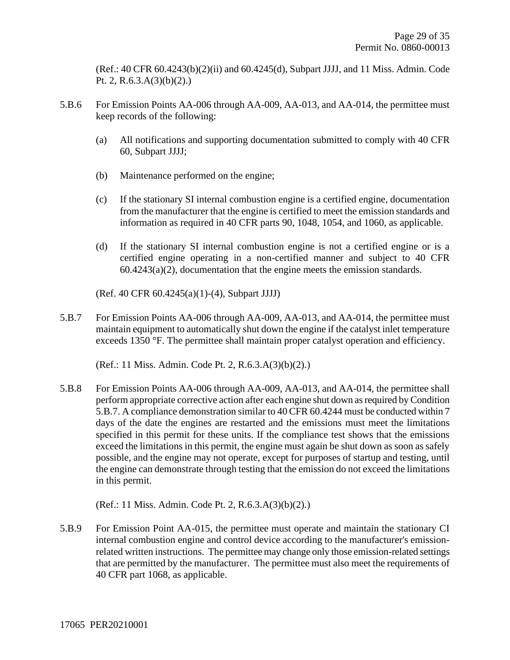(Ref.: 40 CFR 60.4243(b)(2)(ii) and 60.4245(d), Subpart JJJJ, and 11 Miss. Admin. Code Pt. 2, R.6.3.A $(3)(b)(2)$ .)

- 5.B.6 For Emission Points AA-006 through AA-009, AA-013, and AA-014, the permittee must keep records of the following:
	- (a) All notifications and supporting documentation submitted to comply with 40 CFR 60, Subpart JJJJ;
	- (b) Maintenance performed on the engine;
	- (c) If the stationary SI internal combustion engine is a certified engine, documentation from the manufacturer that the engine is certified to meet the emission standards and information as required in 40 CFR parts 90, 1048, 1054, and 1060, as applicable.
	- (d) If the stationary SI internal combustion engine is not a certified engine or is a certified engine operating in a non-certified manner and subject to 40 CFR 60.4243(a)(2), documentation that the engine meets the emission standards.

(Ref. 40 CFR 60.4245(a)(1)-(4), Subpart JJJJ)

5.B.7 For Emission Points AA-006 through AA-009, AA-013, and AA-014, the permittee must maintain equipment to automatically shut down the engine if the catalyst inlet temperature exceeds 1350 °F. The permittee shall maintain proper catalyst operation and efficiency.

(Ref.: 11 Miss. Admin. Code Pt. 2, R.6.3.A(3)(b)(2).)

5.B.8 For Emission Points AA-006 through AA-009, AA-013, and AA-014, the permittee shall perform appropriate corrective action after each engine shut down as required by Condition 5.B.7. A compliance demonstration similar to 40 CFR 60.4244 must be conducted within 7 days of the date the engines are restarted and the emissions must meet the limitations specified in this permit for these units. If the compliance test shows that the emissions exceed the limitations in this permit, the engine must again be shut down as soon as safely possible, and the engine may not operate, except for purposes of startup and testing, until the engine can demonstrate through testing that the emission do not exceed the limitations in this permit.

(Ref.: 11 Miss. Admin. Code Pt. 2, R.6.3.A(3)(b)(2).)

5.B.9 For Emission Point AA-015, the permittee must operate and maintain the stationary CI internal combustion engine and control device according to the manufacturer's emissionrelated written instructions. The permittee may change only those emission-related settings that are permitted by the manufacturer. The permittee must also meet the requirements of 40 CFR part 1068, as applicable.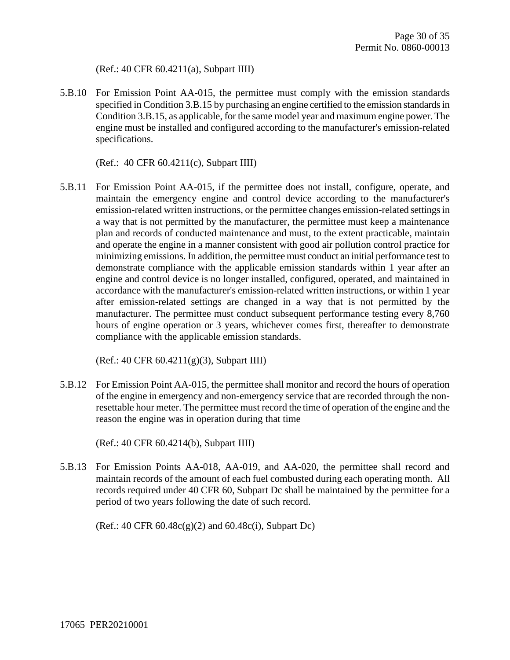(Ref.: 40 CFR 60.4211(a), Subpart IIII)

5.B.10 For Emission Point AA-015, the permittee must comply with the emission standards specified in Condition 3.B.15 by purchasing an engine certified to the emission standards in Condition 3.B.15, as applicable, for the same model year and maximum engine power. The engine must be installed and configured according to the manufacturer's emission-related specifications.

(Ref.: 40 CFR 60.4211(c), Subpart IIII)

5.B.11 For Emission Point AA-015, if the permittee does not install, configure, operate, and maintain the emergency engine and control device according to the manufacturer's emission-related written instructions, or the permittee changes emission-related settings in a way that is not permitted by the manufacturer, the permittee must keep a maintenance plan and records of conducted maintenance and must, to the extent practicable, maintain and operate the engine in a manner consistent with good air pollution control practice for minimizing emissions. In addition, the permittee must conduct an initial performance test to demonstrate compliance with the applicable emission standards within 1 year after an engine and control device is no longer installed, configured, operated, and maintained in accordance with the manufacturer's emission-related written instructions, or within 1 year after emission-related settings are changed in a way that is not permitted by the manufacturer. The permittee must conduct subsequent performance testing every 8,760 hours of engine operation or 3 years, whichever comes first, thereafter to demonstrate compliance with the applicable emission standards.

(Ref.: 40 CFR 60.4211(g)(3), Subpart IIII)

5.B.12 For Emission Point AA-015, the permittee shall monitor and record the hours of operation of the engine in emergency and non-emergency service that are recorded through the nonresettable hour meter. The permittee must record the time of operation of the engine and the reason the engine was in operation during that time

(Ref.: 40 CFR 60.4214(b), Subpart IIII)

5.B.13 For Emission Points AA-018, AA-019, and AA-020, the permittee shall record and maintain records of the amount of each fuel combusted during each operating month. All records required under 40 CFR 60, Subpart Dc shall be maintained by the permittee for a period of two years following the date of such record.

(Ref.: 40 CFR 60.48c(g)(2) and 60.48c(i), Subpart Dc)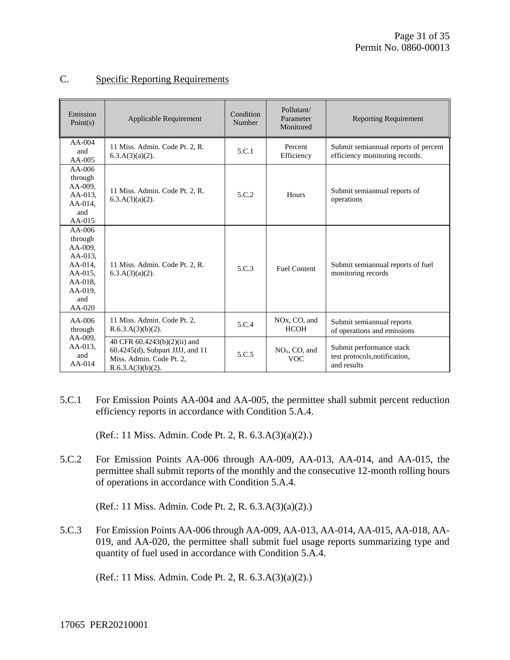| Emission<br>Point(s)                                                                                           | Applicable Requirement                                                                                               | Condition<br>Number | Pollutant/<br>Parameter<br>Monitored                 | <b>Reporting Requirement</b>                                             |
|----------------------------------------------------------------------------------------------------------------|----------------------------------------------------------------------------------------------------------------------|---------------------|------------------------------------------------------|--------------------------------------------------------------------------|
| $AA-004$<br>and<br>$AA-005$                                                                                    | 11 Miss. Admin. Code Pt. 2, R.<br>$6.3.A(3)(a)(2)$ .                                                                 | 5.C.1               | Percent<br>Efficiency                                | Submit semiannual reports of percent<br>efficiency monitoring records.   |
| $AA-006$<br>through<br>AA-009,<br>AA-013,<br>AA-014,<br>and<br>$AA-015$                                        | 11 Miss. Admin. Code Pt. 2, R.<br>$6.3.A(3)(a)(2)$ .                                                                 | 5.C.2               | Hours                                                | Submit semiannual reports of<br>operations                               |
| $AA-006$<br>through<br>AA-009.<br>AA-013.<br>$AA-014$ ,<br>AA-015,<br>$AA-018$ ,<br>AA-019.<br>and<br>$AA-020$ | 11 Miss. Admin. Code Pt. 2, R.<br>$6.3.A(3)(a)(2)$ .                                                                 | 5.C.3               | <b>Fuel Content</b>                                  | Submit semiannual reports of fuel<br>monitoring records                  |
| $AA-006$<br>through                                                                                            | 11 Miss. Admin. Code Pt. 2.<br>$R.6.3.A(3)(b)(2)$ .                                                                  | 5.C.4               | NO <sub>x</sub> , CO <sub>2</sub> and<br><b>HCOH</b> | Submit semiannual reports<br>of operations and emissions                 |
| AA-009.<br>AA-013.<br>and<br>$AA-014$                                                                          | 40 CFR 60.4243(b)(2)(ii) and<br>$60.4245(d)$ , Subpart JJJJ, and 11<br>Miss. Admin. Code Pt. 2,<br>R.6.3.A(3)(b)(2). | 5.C.5               | $NOx$ , CO, and<br><b>VOC</b>                        | Submit performance stack<br>test protocols, notification,<br>and results |

#### C. Specific Reporting Requirements

5.C.1 For Emission Points AA-004 and AA-005, the permittee shall submit percent reduction efficiency reports in accordance with Condition 5.A.4.

(Ref.: 11 Miss. Admin. Code Pt. 2, R. 6.3.A(3)(a)(2).)

5.C.2 For Emission Points AA-006 through AA-009, AA-013, AA-014, and AA-015, the permittee shall submit reports of the monthly and the consecutive 12-month rolling hours of operations in accordance with Condition 5.A.4.

(Ref.: 11 Miss. Admin. Code Pt. 2, R. 6.3.A(3)(a)(2).)

5.C.3 For Emission Points AA-006 through AA-009, AA-013, AA-014, AA-015, AA-018, AA-019, and AA-020, the permittee shall submit fuel usage reports summarizing type and quantity of fuel used in accordance with Condition 5.A.4.

(Ref.: 11 Miss. Admin. Code Pt. 2, R. 6.3.A(3)(a)(2).)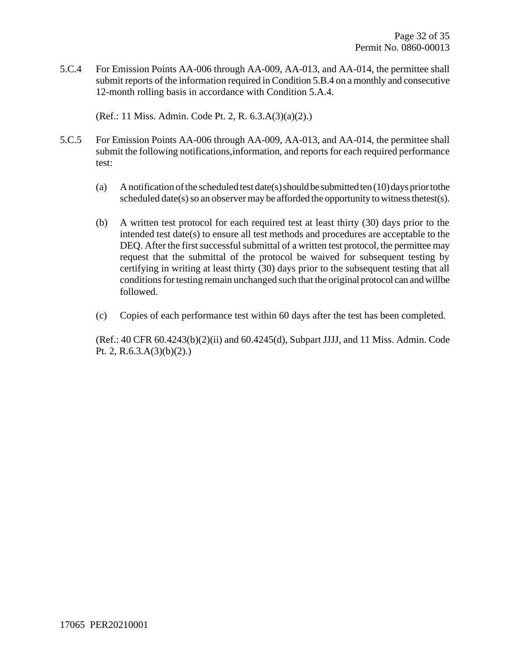5.C.4 For Emission Points AA-006 through AA-009, AA-013, and AA-014, the permittee shall submit reports of the information required in Condition 5.B.4 on a monthly and consecutive 12-month rolling basis in accordance with Condition 5.A.4.

(Ref.: 11 Miss. Admin. Code Pt. 2, R. 6.3.A(3)(a)(2).)

- 5.C.5 For Emission Points AA-006 through AA-009, AA-013, and AA-014, the permittee shall submit the following notifications,information, and reports for each required performance test:
	- (a) Anotification of the scheduled test date(s) should be submitted ten  $(10)$  days prior to the scheduled date(s) so an observer may be afforded the opportunity to witness the test(s).
	- (b) A written test protocol for each required test at least thirty (30) days prior to the intended test date(s) to ensure all test methods and procedures are acceptable to the DEQ. After the first successful submittal of a written test protocol, the permittee may request that the submittal of the protocol be waived for subsequent testing by certifying in writing at least thirty (30) days prior to the subsequent testing that all conditions for testing remain unchanged such that the original protocol can and will be followed.
	- (c) Copies of each performance test within 60 days after the test has been completed.

(Ref.: 40 CFR 60.4243(b)(2)(ii) and 60.4245(d), Subpart JJJJ, and 11 Miss. Admin. Code Pt. 2, R.6.3.A(3)(b)(2).)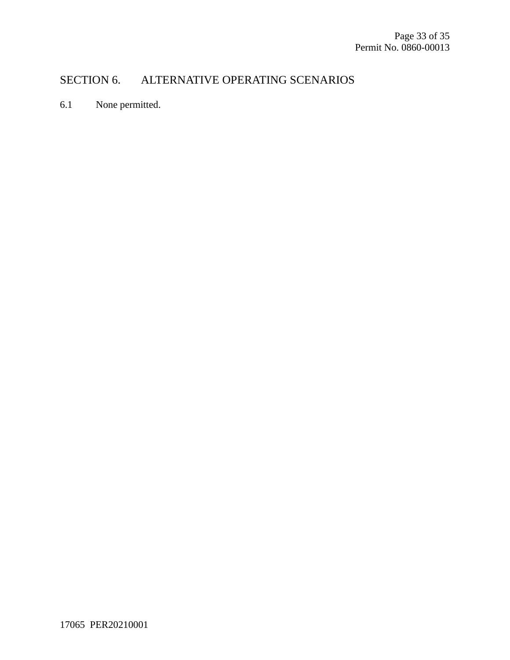### SECTION 6. ALTERNATIVE OPERATING SCENARIOS

6.1 None permitted.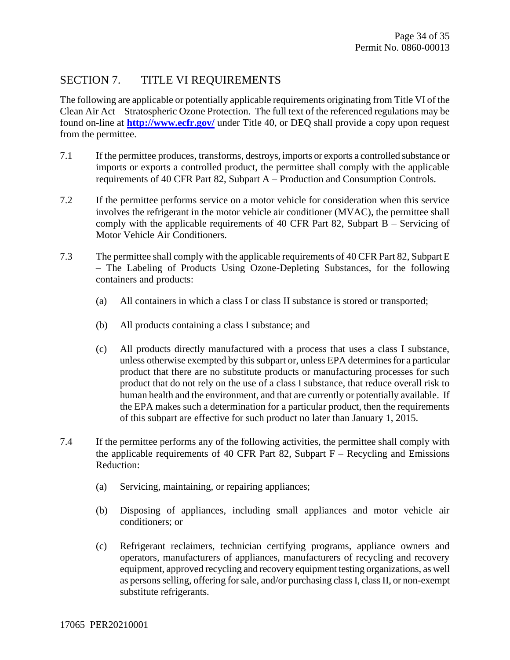#### SECTION 7. TITLE VI REQUIREMENTS

The following are applicable or potentially applicable requirements originating from Title VI of the Clean Air Act – Stratospheric Ozone Protection. The full text of the referenced regulations may be found on-line at **<http://www.ecfr.gov/>** under Title 40, or DEQ shall provide a copy upon request from the permittee.

- 7.1 If the permittee produces, transforms, destroys, imports or exports a controlled substance or imports or exports a controlled product, the permittee shall comply with the applicable requirements of 40 CFR Part 82, Subpart A – Production and Consumption Controls.
- 7.2 If the permittee performs service on a motor vehicle for consideration when this service involves the refrigerant in the motor vehicle air conditioner (MVAC), the permittee shall comply with the applicable requirements of 40 CFR Part 82, Subpart B – Servicing of Motor Vehicle Air Conditioners.
- 7.3 The permittee shall comply with the applicable requirements of 40 CFR Part 82, Subpart E – The Labeling of Products Using Ozone-Depleting Substances, for the following containers and products:
	- (a) All containers in which a class I or class II substance is stored or transported;
	- (b) All products containing a class I substance; and
	- (c) All products directly manufactured with a process that uses a class I substance, unless otherwise exempted by this subpart or, unless EPA determines for a particular product that there are no substitute products or manufacturing processes for such product that do not rely on the use of a class I substance, that reduce overall risk to human health and the environment, and that are currently or potentially available. If the EPA makes such a determination for a particular product, then the requirements of this subpart are effective for such product no later than January 1, 2015.
- 7.4 If the permittee performs any of the following activities, the permittee shall comply with the applicable requirements of 40 CFR Part 82, Subpart  $F -$  Recycling and Emissions Reduction:
	- (a) Servicing, maintaining, or repairing appliances;
	- (b) Disposing of appliances, including small appliances and motor vehicle air conditioners; or
	- (c) Refrigerant reclaimers, technician certifying programs, appliance owners and operators, manufacturers of appliances, manufacturers of recycling and recovery equipment, approved recycling and recovery equipment testing organizations, as well as persons selling, offering for sale, and/or purchasing class I, class II, or non-exempt substitute refrigerants.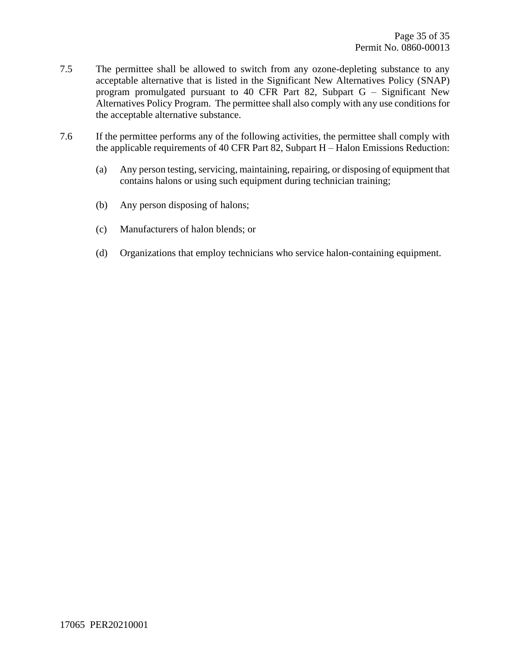- 7.5 The permittee shall be allowed to switch from any ozone-depleting substance to any acceptable alternative that is listed in the Significant New Alternatives Policy (SNAP) program promulgated pursuant to 40 CFR Part 82, Subpart G – Significant New Alternatives Policy Program. The permittee shall also comply with any use conditions for the acceptable alternative substance.
- <span id="page-34-0"></span>7.6 If the permittee performs any of the following activities, the permittee shall comply with the applicable requirements of 40 CFR Part 82, Subpart H – Halon Emissions Reduction:
	- (a) Any person testing, servicing, maintaining, repairing, or disposing of equipment that contains halons or using such equipment during technician training;
	- (b) Any person disposing of halons;
	- (c) Manufacturers of halon blends; or
	- (d) Organizations that employ technicians who service halon-containing equipment.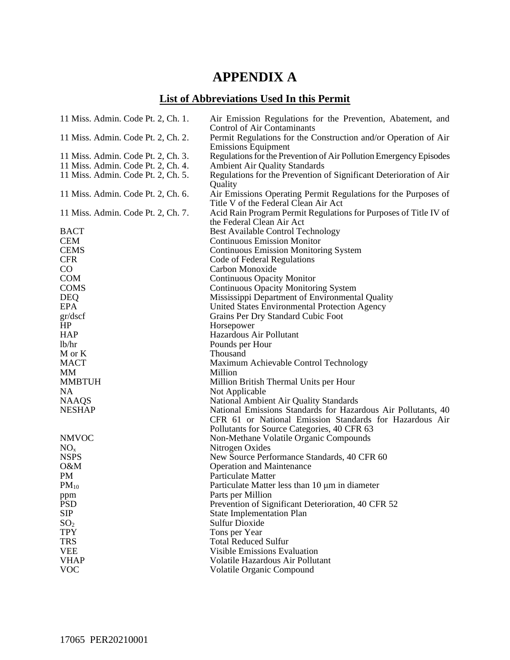# **APPENDIX A**

# **List of Abbreviations Used In this Permit**

| 11 Miss. Admin. Code Pt. 2, Ch. 1. | Air Emission Regulations for the Prevention, Abatement, and<br><b>Control of Air Contaminants</b> |
|------------------------------------|---------------------------------------------------------------------------------------------------|
| 11 Miss. Admin. Code Pt. 2, Ch. 2. | Permit Regulations for the Construction and/or Operation of Air                                   |
| 11 Miss. Admin. Code Pt. 2, Ch. 3. | <b>Emissions Equipment</b><br>Regulations for the Prevention of Air Pollution Emergency Episodes  |
| 11 Miss. Admin. Code Pt. 2, Ch. 4. | <b>Ambient Air Quality Standards</b>                                                              |
| 11 Miss. Admin. Code Pt. 2, Ch. 5. | Regulations for the Prevention of Significant Deterioration of Air                                |
|                                    | Quality                                                                                           |
| 11 Miss. Admin. Code Pt. 2, Ch. 6. | Air Emissions Operating Permit Regulations for the Purposes of                                    |
|                                    | Title V of the Federal Clean Air Act                                                              |
| 11 Miss. Admin. Code Pt. 2, Ch. 7. | Acid Rain Program Permit Regulations for Purposes of Title IV of                                  |
|                                    | the Federal Clean Air Act                                                                         |
| <b>BACT</b>                        | <b>Best Available Control Technology</b>                                                          |
| <b>CEM</b>                         | <b>Continuous Emission Monitor</b>                                                                |
| <b>CEMS</b>                        | <b>Continuous Emission Monitoring System</b>                                                      |
| <b>CFR</b>                         | Code of Federal Regulations                                                                       |
| $\rm CO$                           | Carbon Monoxide                                                                                   |
| <b>COM</b>                         | <b>Continuous Opacity Monitor</b>                                                                 |
| <b>COMS</b>                        | <b>Continuous Opacity Monitoring System</b>                                                       |
| <b>DEQ</b>                         | Mississippi Department of Environmental Quality                                                   |
| <b>EPA</b>                         | United States Environmental Protection Agency                                                     |
| gr/dscf                            | Grains Per Dry Standard Cubic Foot                                                                |
| HP<br><b>HAP</b>                   | Horsepower<br>Hazardous Air Pollutant                                                             |
| lb/hr                              | Pounds per Hour                                                                                   |
| M or K                             | Thousand                                                                                          |
| <b>MACT</b>                        | Maximum Achievable Control Technology                                                             |
| MМ                                 | Million                                                                                           |
| <b>MMBTUH</b>                      | Million British Thermal Units per Hour                                                            |
| <b>NA</b>                          | Not Applicable                                                                                    |
| <b>NAAQS</b>                       | National Ambient Air Quality Standards                                                            |
| <b>NESHAP</b>                      | National Emissions Standards for Hazardous Air Pollutants, 40                                     |
|                                    | CFR 61 or National Emission Standards for Hazardous Air                                           |
|                                    | Pollutants for Source Categories, 40 CFR 63                                                       |
| <b>NMVOC</b>                       | Non-Methane Volatile Organic Compounds                                                            |
| NO <sub>x</sub>                    | Nitrogen Oxides                                                                                   |
| <b>NSPS</b>                        | New Source Performance Standards, 40 CFR 60                                                       |
| O&M                                | <b>Operation and Maintenance</b>                                                                  |
| PM                                 | Particulate Matter                                                                                |
| $PM_{10}$                          | Particulate Matter less than 10 µm in diameter                                                    |
| ppm                                | Parts per Million                                                                                 |
| <b>PSD</b>                         | Prevention of Significant Deterioration, 40 CFR 52                                                |
| <b>SIP</b>                         | <b>State Implementation Plan</b>                                                                  |
| SO <sub>2</sub>                    | <b>Sulfur Dioxide</b>                                                                             |
| <b>TPY</b>                         | Tons per Year                                                                                     |
| <b>TRS</b>                         | <b>Total Reduced Sulfur</b>                                                                       |
| <b>VEE</b>                         | Visible Emissions Evaluation                                                                      |
| <b>VHAP</b>                        | Volatile Hazardous Air Pollutant                                                                  |
| <b>VOC</b>                         | Volatile Organic Compound                                                                         |